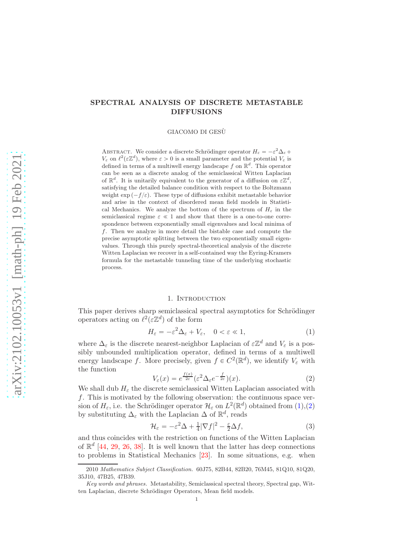# SPECTRAL ANALYSIS OF DISCRETE METASTABLE DIFFUSIONS

GIACOMO DI GESÙ

ABSTRACT. We consider a discrete Schrödinger operator  $H_{\varepsilon} = -\varepsilon^2 \Delta_{\varepsilon} +$  $V_{\varepsilon}$  on  $\ell^2(\varepsilon \mathbb{Z}^d)$ , where  $\varepsilon > 0$  is a small parameter and the potential  $V_{\varepsilon}$  is defined in terms of a multiwell energy landscape f on  $\mathbb{R}^d$ . This operator can be seen as a discrete analog of the semiclassical Witten Laplacian of  $\mathbb{R}^d$ . It is unitarily equivalent to the generator of a diffusion on  $\varepsilon \mathbb{Z}^d$ , satisfying the detailed balance condition with respect to the Boltzmann weight  $\exp(-f/\varepsilon)$ . These type of diffusions exhibit metastable behavior and arise in the context of disordered mean field models in Statistical Mechanics. We analyze the bottom of the spectrum of  $H<sub>\varepsilon</sub>$  in the semiclassical regime  $\varepsilon \ll 1$  and show that there is a one-to-one correspondence between exponentially small eigenvalues and local minima of f. Then we analyze in more detail the bistable case and compute the precise asymptotic splitting between the two exponentially small eigenvalues. Through this purely spectral-theoretical analysis of the discrete Witten Laplacian we recover in a self-contained way the Eyring-Kramers formula for the metastable tunneling time of the underlying stochastic process.

#### 1. INTRODUCTION

This paper derives sharp semiclassical spectral asymptotics for Schrödinger operators acting on  $\ell^2(\varepsilon \mathbb{Z}^d)$  of the form

<span id="page-0-0"></span>
$$
H_{\varepsilon} = -\varepsilon^2 \Delta_{\varepsilon} + V_{\varepsilon}, \quad 0 < \varepsilon \ll 1,\tag{1}
$$

where  $\Delta_{\varepsilon}$  is the discrete nearest-neighbor Laplacian of  $\varepsilon \mathbb{Z}^d$  and  $V_{\varepsilon}$  is a possibly unbounded multiplication operator, defined in terms of a multiwell energy landscape f. More precisely, given  $f \in C^2(\mathbb{R}^d)$ , we identify  $V_{\varepsilon}$  with the function

<span id="page-0-1"></span>
$$
V_{\varepsilon}(x) = e^{\frac{f(x)}{2\varepsilon}} (\varepsilon^2 \Delta_{\varepsilon} e^{-\frac{f}{2\varepsilon}})(x).
$$
 (2)

We shall dub  $H_{\varepsilon}$  the discrete semiclassical Witten Laplacian associated with f. This is motivated by the following observation: the continuous space version of  $H_{\varepsilon}$ , i.e. the Schrödinger operator  $\mathcal{H}_{\varepsilon}$  on  $L^2(\mathbb{R}^d)$  obtained from  $(1),(2)$  $(1),(2)$ by substituting  $\Delta_{\varepsilon}$  with the Laplacian  $\Delta$  of  $\mathbb{R}^d$ , reads

<span id="page-0-2"></span>
$$
\mathcal{H}_{\varepsilon} = -\varepsilon^2 \Delta + \frac{1}{4} |\nabla f|^2 - \frac{\varepsilon}{2} \Delta f,\tag{3}
$$

and thus coincides with the restriction on functions of the Witten Laplacian of  $\mathbb{R}^d$  [\[44,](#page-34-0) [29,](#page-34-1) 26, [38\]](#page-34-2). It is well known that the latter has deep connections to problems in Statistical Mechanics [23]. In some situations, e.g. when

<sup>2010</sup> Mathematics Subject Classification. 60J75, 82B44, 82B20, 76M45, 81Q10, 81Q20, 35J10, 47B25, 47B39.

Key words and phrases. Metastability, Semiclassical spectral theory, Spectral gap, Witten Laplacian, discrete Schrödinger Operators, Mean field models.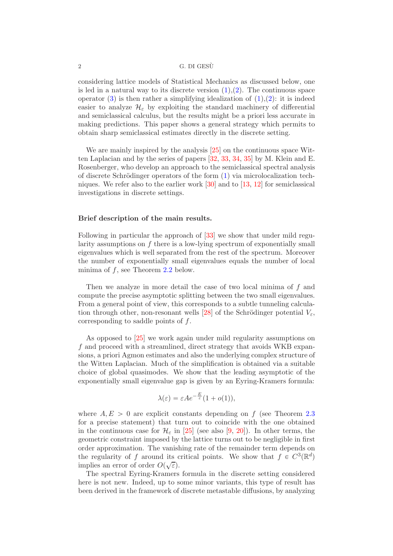considering lattice models of Statistical Mechanics as discussed below, one is led in a natural way to its discrete version  $(1),(2)$  $(1),(2)$ . The continuous space operator  $(3)$  is then rather a simplifying idealization of  $(1),(2)$  $(1),(2)$ : it is indeed easier to analyze  $\mathcal{H}_{\varepsilon}$  by exploiting the standard machinery of differential and semiclassical calculus, but the results might be a priori less accurate in making predictions. This paper shows a general strategy which permits to obtain sharp semiclassical estimates directly in the discrete setting.

We are mainly inspired by the analysis [\[25\]](#page-34-3) on the continuous space Witten Laplacian and by the series of papers [\[32,](#page-34-4) [33,](#page-34-5) [34,](#page-34-6) [35\]](#page-34-7) by M. Klein and E. Rosenberger, who develop an approach to the semiclassical spectral analysis of discrete Schrödinger operators of the form  $(1)$  via microlocalization techniques. We refer also to the earlier work [\[30\]](#page-34-8) and to [\[13,](#page-33-0) [12\]](#page-33-1) for semiclassical investigations in discrete settings.

### Brief description of the main results.

Following in particular the approach of [\[33\]](#page-34-5) we show that under mild regularity assumptions on f there is a low-lying spectrum of exponentially small eigenvalues which is well separated from the rest of the spectrum. Moreover the number of exponentially small eigenvalues equals the number of local minima of  $f$ , see Theorem [2.2](#page-6-0) below.

Then we analyze in more detail the case of two local minima of f and compute the precise asymptotic splitting between the two small eigenvalues. From a general point of view, this corresponds to a subtle tunneling calcula-tion through other, non-resonant wells [\[28\]](#page-34-9) of the Schrödinger potential  $V_{\varepsilon}$ , corresponding to saddle points of f.

As opposed to [\[25\]](#page-34-3) we work again under mild regularity assumptions on f and proceed with a streamlined, direct strategy that avoids WKB expansions, a priori Agmon estimates and also the underlying complex structure of the Witten Laplacian. Much of the simplification is obtained via a suitable choice of global quasimodes. We show that the leading asymptotic of the exponentially small eigenvalue gap is given by an Eyring-Kramers formula:

$$
\lambda(\varepsilon) = \varepsilon A e^{-\frac{E}{\varepsilon}} (1 + o(1)),
$$

where  $A, E > 0$  are explicit constants depending on f (see Theorem [2.3](#page-7-0)) for a precise statement) that turn out to coincide with the one obtained in the continuous case for  $\mathcal{H}_{\varepsilon}$  in [\[25\]](#page-34-3) (see also [\[9,](#page-33-2) [20\]](#page-34-10)). In other terms, the geometric constraint imposed by the lattice turns out to be negligible in first order approximation. The vanishing rate of the remainder term depends on the regularity of f around its critical points. We show that  $f \in C^3(\mathbb{R}^d)$ implies an error of order  $O(\sqrt{\varepsilon})$ .

The spectral Eyring-Kramers formula in the discrete setting considered here is not new. Indeed, up to some minor variants, this type of result has been derived in the framework of discrete metastable diffusions, by analyzing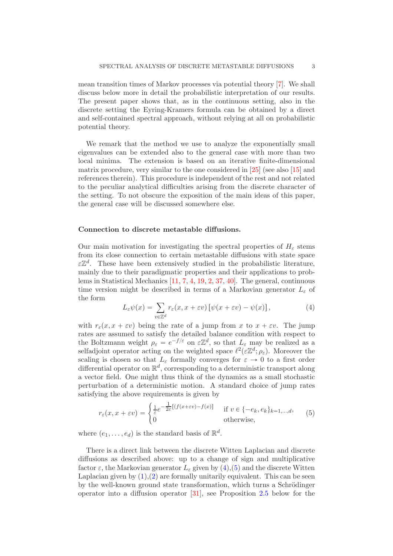mean transition times of Markov processes via potential theory [\[7\]](#page-33-3). We shall discuss below more in detail the probabilistic interpretation of our results. The present paper shows that, as in the continuous setting, also in the discrete setting the Eyring-Kramers formula can be obtained by a direct and self-contained spectral approach, without relying at all on probabilistic potential theory.

We remark that the method we use to analyze the exponentially small eigenvalues can be extended also to the general case with more than two local minima. The extension is based on an iterative finite-dimensional matrix procedure, very similar to the one considered in [\[25\]](#page-34-3) (see also [\[15\]](#page-33-4) and references therein). This procedure is independent of the rest and not related to the peculiar analytical difficulties arising from the discrete character of the setting. To not obscure the exposition of the main ideas of this paper, the general case will be discussed somewhere else.

#### Connection to discrete metastable diffusions.

Our main motivation for investigating the spectral properties of  $H_{\varepsilon}$  stems from its close connection to certain metastable diffusions with state space  $\varepsilon \mathbb{Z}^d$ . These have been extensively studied in the probabilistic literature, mainly due to their paradigmatic properties and their applications to problems in Statistical Mechanics [\[11,](#page-33-5) [7,](#page-33-3) [4,](#page-33-6) [19,](#page-34-11) [2,](#page-33-7) [37,](#page-34-12) [40\]](#page-34-13). The general, continuous time version might be described in terms of a Markovian generator  $L_{\varepsilon}$  of the form

<span id="page-2-0"></span>
$$
L_{\varepsilon}\psi(x) = \sum_{v \in \mathbb{Z}^d} r_{\varepsilon}(x, x + \varepsilon v) \left[ \psi(x + \varepsilon v) - \psi(x) \right],\tag{4}
$$

with  $r<sub>\varepsilon</sub>(x, x + \varepsilon v)$  being the rate of a jump from x to  $x + \varepsilon v$ . The jump rates are assumed to satisfy the detailed balance condition with respect to the Boltzmann weight  $\rho_{\varepsilon} = e^{-f/\varepsilon}$  on  $\varepsilon \mathbb{Z}^d$ , so that  $L_{\varepsilon}$  may be realized as a selfadjoint operator acting on the weighted space  $\ell^2(\varepsilon \mathbb{Z}^d; \rho_{\varepsilon})$ . Moreover the scaling is chosen so that  $L_{\varepsilon}$  formally converges for  $\varepsilon \to 0$  to a first order differential operator on  $\mathbb{R}^d$ , corresponding to a deterministic transport along a vector field. One might thus think of the dynamics as a small stochastic perturbation of a deterministic motion. A standard choice of jump rates satisfying the above requirements is given by

<span id="page-2-1"></span>
$$
r_{\varepsilon}(x, x + \varepsilon v) = \begin{cases} \frac{1}{\varepsilon} e^{-\frac{1}{2\varepsilon}[(f(x + \varepsilon v) - f(x)]} & \text{if } v \in \{-e_k, e_k\}_{k=1,\dots,d}, \\ 0 & \text{otherwise}, \end{cases}
$$
(5)

where  $(e_1, \ldots, e_d)$  is the standard basis of  $\mathbb{R}^d$ .

There is a direct link between the discrete Witten Laplacian and discrete diffusions as described above: up to a change of sign and multiplicative factor  $\varepsilon$ , the Markovian generator  $L_{\varepsilon}$  given by  $(4)$ , [\(5\)](#page-2-1) and the discrete Witten Laplacian given by  $(1)$ ,  $(2)$  are formally unitarily equivalent. This can be seen by the well-known ground state transformation, which turns a Schrödinger operator into a diffusion operator [\[31\]](#page-34-14), see Proposition [2.5](#page-8-0) below for the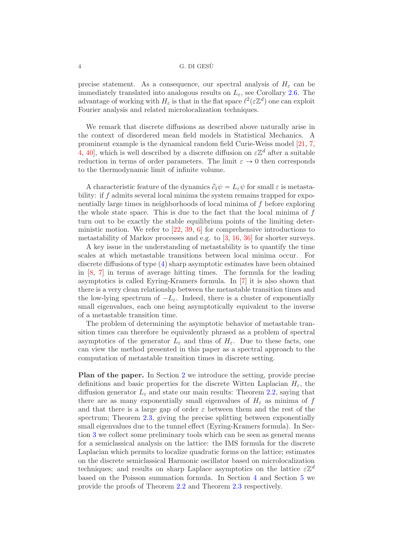### 4 G. DI GESU`

precise statement. As a consequence, our spectral analysis of  $H_{\varepsilon}$  can be immediately translated into analogous results on  $L_{\varepsilon}$ , see Corollary [2.6.](#page-8-1) The advantage of working with  $H_{\varepsilon}$  is that in the flat space  $\ell^2(\varepsilon \mathbb{Z}^d)$  one can exploit Fourier analysis and related microlocalization techniques.

We remark that discrete diffusions as described above naturally arise in the context of disordered mean field models in Statistical Mechanics. A prominent example is the dynamical random field Curie-Weiss model [\[21,](#page-34-15) [7,](#page-33-3) [4,](#page-33-6) [40\]](#page-34-13), which is well described by a discrete diffusion on  $\epsilon \mathbb{Z}^d$  after a suitable reduction in terms of order parameters. The limit  $\varepsilon \to 0$  then corresponds to the thermodynamic limit of infinite volume.

A characteristic feature of the dynamics  $\partial_t \psi = L_{\varepsilon} \psi$  for small  $\varepsilon$  is metastability: if f admits several local minima the system remains trapped for exponentially large times in neighborhoods of local minima of f before exploring the whole state space. This is due to the fact that the local minima of  $f$ turn out to be exactly the stable equilibrium points of the limiting deterministic motion. We refer to [\[22,](#page-34-16) [39,](#page-34-17) [6\]](#page-33-8) for comprehensive introductions to metastability of Markov processes and e.g. to [\[3,](#page-33-9) [16,](#page-33-10) [36\]](#page-34-18) for shorter surveys.

A key issue in the understanding of metastability is to quantify the time scales at which metastable transitions between local minima occur. For discrete diffusions of type [\(4\)](#page-2-0) sharp asymptotic estimates have been obtained in [\[8,](#page-33-11) [7\]](#page-33-3) in terms of average hitting times. The formula for the leading asymptotics is called Eyring-Kramers formula. In [\[7\]](#page-33-3) it is also shown that there is a very clean relationshp between the metastable transition times and the low-lying spectrum of  $-L_{\varepsilon}$ . Indeed, there is a cluster of exponentially small eigenvalues, each one being asymptotically equivalent to the inverse of a metastable transition time.

The problem of determining the asymptotic behavior of metastable transition times can therefore be equivalently phrased as a problem of spectral asymptotics of the generator  $L_{\varepsilon}$  and thus of  $H_{\varepsilon}$ . Due to these facts, one can view the method presented in this paper as a spectral approach to the computation of metastable transition times in discrete setting.

Plan of the paper. In Section [2](#page-4-0) we introduce the setting, provide precise definitions and basic properties for the discrete Witten Laplacian  $H_{\varepsilon}$ , the diffusion generator  $L_{\varepsilon}$  and state our main results: Theorem [2.2,](#page-6-0) saying that there are as many exponentially small eigenvalues of  $H_{\varepsilon}$  as minima of f and that there is a large gap of order  $\varepsilon$  between them and the rest of the spectrum; Theorem [2.3,](#page-7-0) giving the precise splitting between exponentially small eigenvalues due to the tunnel effect (Eyring-Kramers formula). In Section [3](#page-10-0) we collect some preliminary tools which can be seen as general means for a semiclassical analysis on the lattice: the IMS formula for the discrete Laplacian which permits to localize quadratic forms on the lattice; estimates on the discrete semiclassical Harmonic oscillator based on microlocalization techniques; and results on sharp Laplace asymptotics on the lattice  $\varepsilon \mathbb{Z}^d$ based on the Poisson summation formula. In Section [4](#page-18-0) and Section [5](#page-25-0) we provide the proofs of Theorem [2.2](#page-6-0) and Theorem [2.3](#page-7-0) respectively.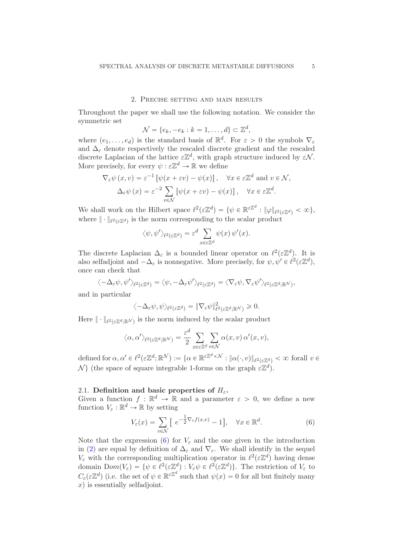#### 2. Precise setting and main results

<span id="page-4-0"></span>Throughout the paper we shall use the following notation. We consider the symmetric set

$$
\mathcal{N} = \{e_k, -e_k : k = 1, \dots, d\} \subset \mathbb{Z}^d,
$$

where  $(e_1, \ldots, e_d)$  is the standard basis of  $\mathbb{R}^d$ . For  $\varepsilon > 0$  the symbols  $\nabla_{\varepsilon}$ and  $\Delta_{\varepsilon}$  denote respectively the rescaled discrete gradient and the rescaled discrete Laplacian of the lattice  $\varepsilon \mathbb{Z}^d$ , with graph structure induced by  $\varepsilon \mathcal{N}$ . More precisely, for every  $\psi : \varepsilon \mathbb{Z}^d \to \mathbb{R}$  we define

$$
\nabla_{\varepsilon} \psi(x, v) = \varepsilon^{-1} \left[ \psi(x + \varepsilon v) - \psi(x) \right], \quad \forall x \in \varepsilon \mathbb{Z}^d \text{ and } v \in \mathcal{N},
$$

$$
\Delta_{\varepsilon} \psi(x) = \varepsilon^{-2} \sum_{v \in \mathcal{N}} \left[ \psi(x + \varepsilon v) - \psi(x) \right], \quad \forall x \in \varepsilon \mathbb{Z}^d.
$$

We shall work on the Hilbert space  $\ell^2(\varepsilon \mathbb{Z}^d) = \{ \psi \in \mathbb{R}^{\varepsilon \mathbb{Z}^d} : ||\varphi||_{\ell^2(\varepsilon \mathbb{Z}^d)} < \infty \},$ where  $\|\cdot\|_{\ell^2(\varepsilon\mathbb{Z}^d)}$  is the norm corresponding to the scalar product

$$
\langle \psi, \psi' \rangle_{\ell^2(\varepsilon \mathbb{Z}^d)} = \varepsilon^d \sum_{x \in \varepsilon \mathbb{Z}^d} \psi(x) \psi'(x).
$$

The discrete Laplacian  $\Delta_{\varepsilon}$  is a bounded linear operator on  $\ell^2(\varepsilon \mathbb{Z}^d)$ . It is also selfadjoint and  $-\Delta_{\varepsilon}$  is nonnegative. More precisely, for  $\psi, \psi' \in \ell^2(\varepsilon \mathbb{Z}^d)$ , once can check that

$$
\langle -\Delta_{\varepsilon} \psi, \psi' \rangle_{\ell^2(\varepsilon \mathbb{Z}^d)} = \langle \psi, -\Delta_{\varepsilon} \psi' \rangle_{\ell^2(\varepsilon \mathbb{Z}^d)} = \langle \nabla_{\varepsilon} \psi, \nabla_{\varepsilon} \psi' \rangle_{\ell^2(\varepsilon \mathbb{Z}^d; \mathbb{R}^{\mathcal{N}})},
$$

and in particular

$$
\langle -\Delta_{\varepsilon} \psi, \psi \rangle_{\ell^2(\varepsilon \mathbb{Z}^d)} = \|\nabla_{\varepsilon} \psi\|_{\ell^2(\varepsilon \mathbb{Z}^d; \mathbb{R}^{\mathcal{N}})}^2 \geq 0.
$$

Here  $\|\cdot\|_{\ell^2(\varepsilon\mathbb{Z}^d;\mathbb{R}^N)}$  is the norm induced by the scalar product

$$
\langle \alpha, \alpha' \rangle_{\ell^2(\varepsilon \mathbb{Z}^d; \mathbb{R}^N)} = \frac{\varepsilon^d}{2} \sum_{x \in \varepsilon \mathbb{Z}^d} \sum_{v \in \mathcal{N}} \alpha(x, v) \alpha'(x, v),
$$

defined for  $\alpha, \alpha' \in \ell^2(\varepsilon \mathbb{Z}^d; \mathbb{R}^{\mathcal{N}}) := \{ \alpha \in \mathbb{R}^{\varepsilon \mathbb{Z}^d \times \mathcal{N}} : \| \alpha(\cdot, v) \|_{\ell^2(\varepsilon \mathbb{Z}^d)} < \infty$  forall  $v \in$  $\mathcal{N}\}$  (the space of square integrable 1-forms on the graph  $\varepsilon\mathbb{Z}^d$ ).

### 2.1. Definition and basic properties of  $H_{\varepsilon}$ .

Given a function  $f : \mathbb{R}^d \to \mathbb{R}$  and a parameter  $\varepsilon > 0$ , we define a new function  $V_{\varepsilon} : \mathbb{R}^d \to \mathbb{R}$  by setting

<span id="page-4-1"></span>
$$
V_{\varepsilon}(x) = \sum_{v \in \mathcal{N}} \left[ e^{-\frac{1}{2} \nabla_{\varepsilon} f(x,v)} - 1 \right], \quad \forall x \in \mathbb{R}^d.
$$
 (6)

Note that the expression [\(6\)](#page-4-1) for  $V_{\varepsilon}$  and the one given in the introduction in [\(2\)](#page-0-1) are equal by definition of  $\Delta_{\varepsilon}$  and  $\nabla_{\varepsilon}$ . We shall identify in the sequel  $V_{\varepsilon}$  with the corresponding multiplication operator in  $\ell^2(\varepsilon \mathbb{Z}^d)$  having dense domain  $Dom(V_{\varepsilon}) = \{ \psi \in \ell^2(\varepsilon \mathbb{Z}^d) : V_{\varepsilon} \psi \in \ell^2(\varepsilon \mathbb{Z}^d) \}.$  The restriction of  $V_{\varepsilon}$  to  $C_c(\varepsilon\mathbb{Z}^d)$  (i.e. the set of  $\psi \in \mathbb{R}^{\varepsilon\mathbb{Z}^d}$  such that  $\psi(x) = 0$  for all but finitely many x) is essentially selfadjoint.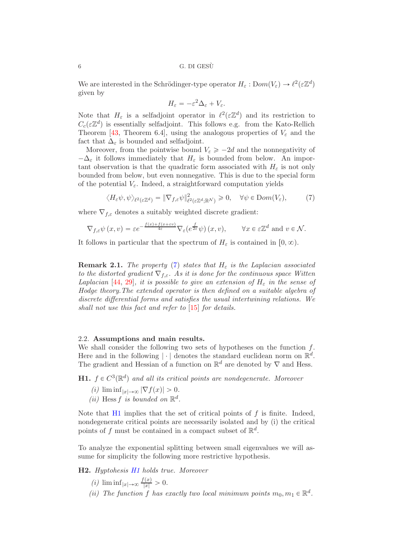We are interested in the Schrödinger-type operator  $H_{\varepsilon} : Dom(V_{\varepsilon}) \to \ell^2(\varepsilon \mathbb{Z}^d)$ given by

$$
H_{\varepsilon} = -\varepsilon^2 \Delta_{\varepsilon} + V_{\varepsilon}.
$$

Note that  $H_{\varepsilon}$  is a selfadjoint operator in  $\ell^2(\varepsilon \mathbb{Z}^d)$  and its restriction to  $C_c(\varepsilon\mathbb{Z}^d)$  is essentially selfadjoint. This follows e.g. from the Kato-Rellich Theorem [\[43,](#page-34-19) Theorem 6.4], using the analogous properties of  $V_{\varepsilon}$  and the fact that  $\Delta_{\varepsilon}$  is bounded and selfadjoint.

Moreover, from the pointwise bound  $V_{\varepsilon} \ge -2d$  and the nonnegativity of  $-\Delta_{\varepsilon}$  it follows immediately that  $H_{\varepsilon}$  is bounded from below. An important observation is that the quadratic form associated with  $H_{\varepsilon}$  is not only bounded from below, but even nonnegative. This is due to the special form of the potential  $V_{\varepsilon}$ . Indeed, a straightforward computation yields

<span id="page-5-0"></span>
$$
\langle H_{\varepsilon}\psi, \psi \rangle_{\ell^2(\varepsilon \mathbb{Z}^d)} = \|\nabla_{f, \varepsilon}\psi\|_{\ell^2(\varepsilon \mathbb{Z}^d; \mathbb{R}^N)}^2 \ge 0, \quad \forall \psi \in \text{Dom}(V_{\varepsilon}), \tag{7}
$$

where  $\nabla_{f,\varepsilon}$  denotes a suitably weighted discrete gradient:

$$
\nabla_{f,\varepsilon}\psi(x,v) = \varepsilon e^{-\frac{f(x) + f(x + \varepsilon v)}{4\varepsilon}} \nabla_{\varepsilon}\left(e^{\frac{f}{2\varepsilon}}\psi\right)(x,v), \quad \forall x \in \varepsilon \mathbb{Z}^d \text{ and } v \in \mathcal{N}.
$$

It follows in particular that the spectrum of  $H_{\varepsilon}$  is contained in  $[0, \infty)$ .

**Remark 2.1.** The property [\(7\)](#page-5-0) states that  $H_{\varepsilon}$  is the Laplacian associated to the distorted gradient  $\nabla_{f,\varepsilon}$ . As it is done for the continuous space Witten Laplacian [\[44,](#page-34-0) [29\]](#page-34-1), it is possible to give an extension of  $H<sub>\varepsilon</sub>$  in the sense of Hodge theory.The extended operator is then defined on a suitable algebra of discrete differential forms and satisfies the usual intertwining relations. We shall not use this fact and refer to [\[15\]](#page-33-4) for details.

### 2.2. Assumptions and main results.

We shall consider the following two sets of hypotheses on the function  $f$ . Here and in the following  $|\cdot|$  denotes the standard euclidean norm on  $\mathbb{R}^d$ . The gradient and Hessian of a function on  $\mathbb{R}^d$  are denoted by  $\nabla$  and Hess.

<span id="page-5-1"></span>**H1.**  $f \in C^3(\mathbb{R}^d)$  and all its critical points are nondegenerate. Moreover

- (i)  $\liminf_{|x|\to\infty} |\nabla f(x)| > 0.$
- (*ii*) Hess f is bounded on  $\mathbb{R}^d$ .

Note that  $H1$  implies that the set of critical points of  $f$  is finite. Indeed, nondegenerate critical points are necessarily isolated and by (i) the critical points of f must be contained in a compact subset of  $\mathbb{R}^d$ .

To analyze the exponential splitting between small eigenvalues we will assume for simplicity the following more restrictive hypothesis.

<span id="page-5-2"></span>H2. Hyptohesis [H1](#page-5-1) holds true. Moreover

- (i)  $\liminf_{|x| \to \infty} \frac{f(x)}{|x|} > 0.$
- (ii) The function f has exactly two local minimum points  $m_0, m_1 \in \mathbb{R}^d$ .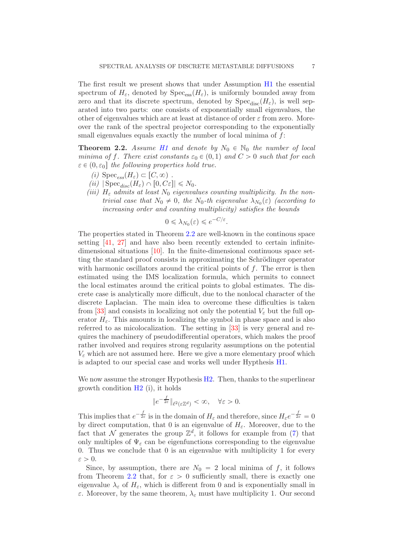The first result we present shows that under Assumption [H1](#page-5-1) the essential spectrum of  $H_{\varepsilon}$ , denoted by  $Spec_{\varepsilon}(\overline{H_{\varepsilon}})$ , is uniformly bounded away from zero and that its discrete spectrum, denoted by  $Spec_{disc}(H_{\varepsilon})$ , is well separated into two parts: one consists of exponentially small eigenvalues, the other of eigenvalues which are at least at distance of order  $\varepsilon$  from zero. Moreover the rank of the spectral projector corresponding to the exponentially small eigenvalues equals exactly the number of local minima of f:

<span id="page-6-0"></span>**Theorem 2.2.** Assume [H1](#page-5-1) and denote by  $N_0 \in \mathbb{N}_0$  the number of local minima of f. There exist constants  $\varepsilon_0 \in (0, 1)$  and  $C > 0$  such that for each  $\varepsilon \in (0, \varepsilon_0]$  the following properties hold true.

- (i)  $Spec_{ess}(H_{\varepsilon}) \subset [C, \infty)$ .
- (ii)  $|\text{Spec}_{disc}(H_{\varepsilon}) \cap [0, C_{\varepsilon}]| \leq N_0.$
- (iii)  $H_{\varepsilon}$  admits at least  $N_0$  eigenvalues counting multiplicity. In the nontrivial case that  $N_0 \neq 0$ , the  $N_0$ -th eigenvalue  $\lambda_{N_0}(\varepsilon)$  (according to increasing order and counting multiplicity) satisfies the bounds

$$
0 \leq \lambda_{N_0}(\varepsilon) \leqslant e^{-C/\varepsilon}.
$$

The properties stated in Theorem [2.2](#page-6-0) are well-known in the continous space setting [\[41,](#page-34-20) [27\]](#page-34-21) and have also been recently extended to certain infinitedimensional situations [\[10\]](#page-33-12). In the finite-dimensional continuous space setting the standard proof consists in approximating the Schrödinger operator with harmonic oscillators around the critical points of  $f$ . The error is then estimated using the IMS localization formula, which permits to connect the local estimates around the critical points to global estimates. The discrete case is analytically more difficult, due to the nonlocal character of the discrete Laplacian. The main idea to overcome these difficulties is taken from [\[33\]](#page-34-5) and consists in localizing not only the potential  $V_{\varepsilon}$  but the full operator  $H_{\varepsilon}$ . This amounts in localizing the symbol in phase space and is also referred to as micolocalization. The setting in [\[33\]](#page-34-5) is very general and requires the machinery of pseudodifferential operators, which makes the proof rather involved and requires strong regularity assumptions on the potential  $V_{\varepsilon}$  which are not assumed here. Here we give a more elementary proof which is adapted to our special case and works well under Hypthesis [H1.](#page-5-1)

We now assume the stronger Hypothesis  $H2$ . Then, thanks to the superlinear growth condition [H2](#page-5-2) (i), it holds

$$
\|e^{-\frac{f}{2\varepsilon}}\|_{\ell^2(\varepsilon\mathbb{Z}^d)} < \infty, \quad \forall \varepsilon > 0.
$$

This implies that  $e^{-\frac{f}{2\varepsilon}}$  is in the domain of  $H_{\varepsilon}$  and therefore, since  $H_{\varepsilon}e^{-\frac{f}{2\varepsilon}} = 0$ by direct computation, that 0 is an eigenvalue of  $H_{\varepsilon}$ . Moreover, due to the fact that N generates the group  $\mathbb{Z}^d$ , it follows for example from [\(7\)](#page-5-0) that only multiples of  $\Psi_{\varepsilon}$  can be eigenfunctions corresponding to the eigenvalue 0. Thus we conclude that 0 is an eigenvalue with multiplicity 1 for every  $\varepsilon > 0$ .

Since, by assumption, there are  $N_0 = 2$  local minima of f, it follows from Theorem [2.2](#page-6-0) that, for  $\varepsilon > 0$  sufficiently small, there is exactly one eigenvalue  $\lambda_{\varepsilon}$  of  $H_{\varepsilon}$ , which is different from 0 and is exponentially small in ε. Moreover, by the same theorem,  $\lambda_{\varepsilon}$  must have multiplicity 1. Our second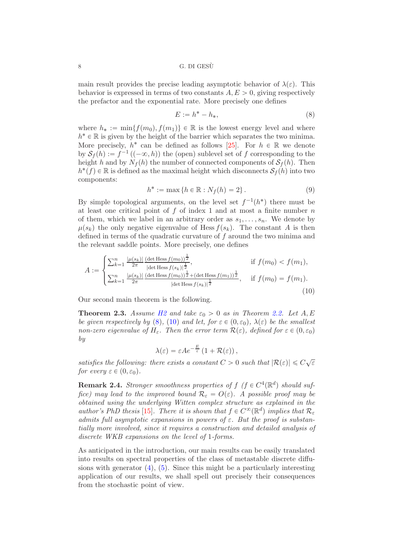main result provides the precise leading asymptotic behavior of  $\lambda(\varepsilon)$ . This behavior is expressed in terms of two constants  $A, E > 0$ , giving respectively the prefactor and the exponential rate. More precisely one defines

<span id="page-7-1"></span>
$$
E := h^* - h_*,\tag{8}
$$

where  $h_* := \min\{f(m_0), f(m_1)\} \in \mathbb{R}$  is the lowest energy level and where  $h^* \in \mathbb{R}$  is given by the height of the barrier which separates the two minima. More precisely,  $h^*$  can be defined as follows [\[25\]](#page-34-3). For  $h \in \mathbb{R}$  we denote by  $S_f(h) := f^{-1}((-\infty, h))$  the (open) sublevel set of f corresponding to the height h and by  $N_f(h)$  the number of connected components of  $S_f(h)$ . Then  $h^*(f) \in \mathbb{R}$  is defined as the maximal height which disconnects  $\mathcal{S}_f(h)$  into two components:

<span id="page-7-3"></span>
$$
h^* := \max \{ h \in \mathbb{R} : N_f(h) = 2 \}.
$$
 (9)

By simple topological arguments, on the level set  $f^{-1}(h^*)$  there must be at least one critical point of  $f$  of index 1 and at most a finite number  $n$ of them, which we label in an arbitrary order as  $s_1, \ldots, s_n$ . We denote by  $\mu(s_k)$  the only negative eigenvalue of Hess  $f(s_k)$ . The constant A is then defined in terms of the quadratic curvature of  $f$  around the two minima and the relevant saddle points. More precisely, one defines

<span id="page-7-2"></span>
$$
A := \begin{cases} \sum_{k=1}^{n} \frac{|\mu(s_k)|}{2\pi} \frac{(\det \text{Hess } f(m_0))^{1/2}}{|\det \text{Hess } f(s_k)|^{1/2}}, & \text{if } f(m_0) < f(m_1),\\ \sum_{k=1}^{n} \frac{|\mu(s_k)|}{2\pi} \frac{(\det \text{Hess } f(m_0))^{1/2} + (\det \text{Hess } f(m_1))^{1/2}}{|\det \text{Hess } f(s_k)|^{1/2}}, & \text{if } f(m_0) = f(m_1). \end{cases}
$$
(10)

Our second main theorem is the following.

<span id="page-7-0"></span>**Theorem 2.3.** Assume [H2](#page-5-2) and take  $\varepsilon_0 > 0$  as in Theorem [2.2.](#page-6-0) Let  $A, E$ be given respectively by [\(8\)](#page-7-1), [\(10\)](#page-7-2) and let, for  $\varepsilon \in (0, \varepsilon_0)$ ,  $\lambda(\varepsilon)$  be the smallest non-zero eigenvalue of  $H_{\varepsilon}$ . Then the error term  $\mathcal{R}(\varepsilon)$ , defined for  $\varepsilon \in (0, \varepsilon_0)$ by

$$
\lambda(\varepsilon) = \varepsilon A e^{-\frac{E}{\varepsilon}} \left( 1 + \mathcal{R}(\varepsilon) \right),
$$

satisfies the following: there exists a constant  $C > 0$  such that  $|\mathcal{R}(\varepsilon)| \leq C\sqrt{\varepsilon}$ for every  $\varepsilon \in (0, \varepsilon_0)$ .

**Remark 2.4.** Stronger smoothness properties of  $f$  ( $f \in C^4(\mathbb{R}^d)$  should suffice) may lead to the improved bound  $\mathcal{R}_{\varepsilon} = O(\varepsilon)$ . A possible proof may be obtained using the underlying Witten complex structure as explained in the author's PhD thesis [\[15\]](#page-33-4). There it is shown that  $f \in C^{\infty}(\mathbb{R}^d)$  implies that  $\mathcal{R}_{\varepsilon}$ admits full asymptotic expansions in powers of  $\varepsilon$ . But the proof is substantially more involved, since it requires a construction and detailed analysis of discrete WKB expansions on the level of 1-forms.

As anticipated in the introduction, our main results can be easily translated into results on spectral properties of the class of metastable discrete diffusions with generator  $(4)$ ,  $(5)$ . Since this might be a particularly interesting application of our results, we shall spell out precisely their consequences from the stochastic point of view.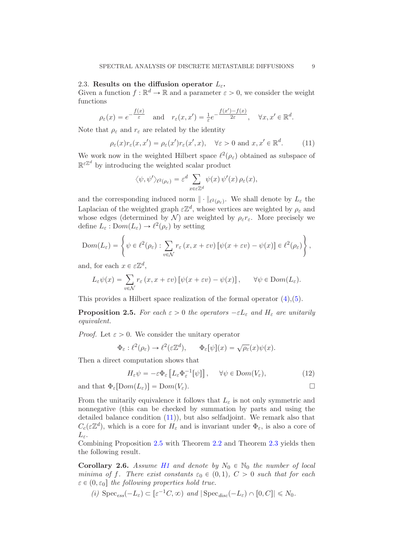# 2.3. Results on the diffusion operator  $L_{\varepsilon}$ .

Given a function  $f : \mathbb{R}^d \to \mathbb{R}$  and a parameter  $\varepsilon > 0$ , we consider the weight functions

$$
\rho_{\varepsilon}(x) = e^{-\frac{f(x)}{\varepsilon}}
$$
 and  $r_{\varepsilon}(x, x') = \frac{1}{\varepsilon} e^{-\frac{f(x') - f(x)}{2\varepsilon}}$ ,  $\forall x, x' \in \mathbb{R}^d$ .

Note that  $\rho_{\varepsilon}$  and  $r_{\varepsilon}$  are related by the identity

<span id="page-8-2"></span>
$$
\rho_{\varepsilon}(x)r_{\varepsilon}(x,x') = \rho_{\varepsilon}(x')r_{\varepsilon}(x',x), \quad \forall \varepsilon > 0 \text{ and } x, x' \in \mathbb{R}^d. \tag{11}
$$

We work now in the weighted Hilbert space  $\ell^2(\rho_{\varepsilon})$  obtained as subspace of  $\mathbb{R}^{\varepsilon \mathbb{Z}^d}$  by introducing the weighted scalar product

$$
\langle \psi, \psi' \rangle_{\ell^2(\rho_{\varepsilon})} = \varepsilon^d \sum_{x \in \varepsilon \mathbb{Z}^d} \psi(x) \, \psi'(x) \, \rho_{\varepsilon}(x),
$$

and the corresponding induced norm  $\|\cdot\|_{\ell^2(\rho_{\varepsilon})}$ . We shall denote by  $L_{\varepsilon}$  the Laplacian of the weighted graph  $\varepsilon \mathbb{Z}^d$ , whose vertices are weighted by  $\rho_{\varepsilon}$  and whose edges (determined by  $\mathcal{N}$ ) are weighted by  $\rho_{\varepsilon}r_{\varepsilon}$ . More precisely we define  $L_{\varepsilon} : Dom(L_{\varepsilon}) \to \ell^2(\rho_{\varepsilon})$  by setting

$$
Dom(L_{\varepsilon}) = \left\{ \psi \in \ell^{2}(\rho_{\varepsilon}) : \sum_{v \in \mathcal{N}} r_{\varepsilon} (x, x + \varepsilon v) \left[ \psi(x + \varepsilon v) - \psi(x) \right] \in \ell^{2}(\rho_{\varepsilon}) \right\},\,
$$

and, for each  $x \in \varepsilon \mathbb{Z}^d$ ,

$$
L_{\varepsilon}\psi(x) = \sum_{v \in \mathcal{N}} r_{\varepsilon} (x, x + \varepsilon v) \left[ \psi(x + \varepsilon v) - \psi(x) \right], \quad \forall \psi \in \text{Dom}(L_{\varepsilon}).
$$

This provides a Hilbert space realization of the formal operator [\(4\)](#page-2-0),[\(5\)](#page-2-1).

<span id="page-8-0"></span>**Proposition 2.5.** For each  $\epsilon > 0$  the operators  $-\epsilon L_{\epsilon}$  and  $H_{\epsilon}$  are unitarily equivalent.

*Proof.* Let  $\varepsilon > 0$ . We consider the unitary operator

$$
\Phi_{\varepsilon}: \ell^2(\rho_{\varepsilon}) \to \ell^2(\varepsilon \mathbb{Z}^d), \qquad \Phi_{\varepsilon}[\psi](x) = \sqrt{\rho_{\varepsilon}}(x)\psi(x).
$$

Then a direct computation shows that

<span id="page-8-3"></span>
$$
H_{\varepsilon}\psi = -\varepsilon\Phi_{\varepsilon}\left[L_{\varepsilon}\Phi_{\varepsilon}^{-1}[\psi]\right], \quad \forall \psi \in \text{Dom}(V_{\varepsilon}),\tag{12}
$$

and that  $\Phi_{\varepsilon}[\text{Dom}(L_{\varepsilon})] = \text{Dom}(V_{\varepsilon}).$ 

From the unitarily equivalence it follows that  $L_{\varepsilon}$  is not only symmetric and nonnegative (this can be checked by summation by parts and using the detailed balance condition [\(11\)](#page-8-2)), but also selfadjoint. We remark also that  $C_c(\varepsilon\mathbb{Z}^d)$ , which is a core for  $H_\varepsilon$  and is invariant under  $\Phi_\varepsilon$ , is also a core of  $L_{\varepsilon}$ .

Combining Proposition [2.5](#page-8-0) with Theorem [2.2](#page-6-0) and Theorem [2.3](#page-7-0) yields then the following result.

<span id="page-8-1"></span>**Corollary 2.6.** Assume [H1](#page-5-1) and denote by  $N_0 \in \mathbb{N}_0$  the number of local minima of f. There exist constants  $\varepsilon_0 \in (0, 1), C > 0$  such that for each  $\varepsilon \in (0, \varepsilon_0]$  the following properties hold true.

(i) 
$$
\text{Spec}_{ess}(-L_{\varepsilon}) \subset [\varepsilon^{-1}C, \infty)
$$
 and  $|\text{Spec}_{disc}(-L_{\varepsilon}) \cap [0, C]| \le N_0$ .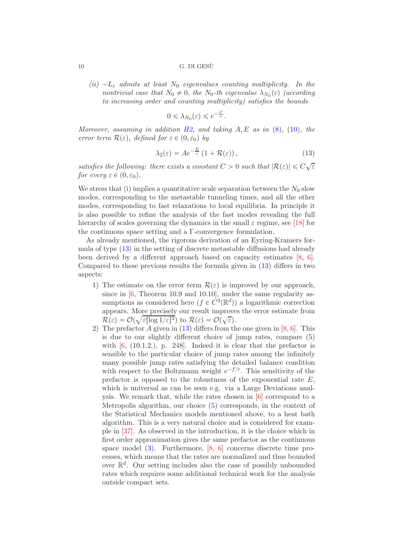(ii)  $-L_{\varepsilon}$  admits at least  $N_0$  eigenvalues counting multiplicity. In the nontrivial case that  $N_0 \neq 0$ , the  $N_0$ -th eigenvalue  $\lambda_{N_0}(\varepsilon)$  (according to increasing order and counting multiplicity) satisfies the bounds

$$
0\leqslant \lambda_{N_0}(\varepsilon)\leqslant e^{-\frac{C}{\varepsilon}}.
$$

Moreover, assuming in addition  $H2$ , and taking  $A, E$  as in  $(8)$ ,  $(10)$ , the error term  $\mathcal{R}(\varepsilon)$ , defined for  $\varepsilon \in (0, \varepsilon_0)$  by

<span id="page-9-0"></span>
$$
\lambda_2(\varepsilon) = A e^{-\frac{E}{\varepsilon}} \left( 1 + \mathcal{R}(\varepsilon) \right),\tag{13}
$$

satisfies the following: there exists a constant  $C > 0$  such that  $|\mathcal{R}(\varepsilon)| \leq C\sqrt{\varepsilon}$ for every  $\varepsilon \in (0, \varepsilon_0)$ .

We stress that (i) implies a quantitative scale separation between the  $N_0$  slow modes, corresponding to the metastable tunneling times, and all the other modes, corresponding to fast relaxations to local equilibria. In principle it is also possible to refine the analysis of the fast modes revealing the full hierarchy of scales governing the dynamics in the small  $\varepsilon$  regime, see [\[18\]](#page-33-13) for the continuous space setting and a Γ-convergence formulation.

As already mentioned, the rigorous derivation of an Eyring-Kramers formula of type [\(13\)](#page-9-0) in the setting of discrete metastable diffusions had already been derived by a different approach based on capacity estimates [\[8,](#page-33-11) [6\]](#page-33-8). Compared to these previous results the formula given in [\(13\)](#page-9-0) differs in two aspects:

- 1) The estimate on the error term  $\mathcal{R}(\varepsilon)$  is improved by our approach, since in  $[6,$  Theorem 10.9 and 10.10, under the same regularity assumptions as considered here  $(f \in C^3(\mathbb{R}^d))$  a logarithmic correction appears. More precisely our result improves the error estimate from  $\mathcal{R}(\varepsilon) = \mathcal{O}(\sqrt{\varepsilon \left[ \log 1/\varepsilon \right]^3})$  to  $\mathcal{R}(\varepsilon) = \mathcal{O}(\sqrt{\varepsilon}).$
- 2) The prefactor  $A$  given in  $(13)$  differs from the one given in  $[8, 6]$  $[8, 6]$ . This is due to our slightly different choice of jump rates, compare [\(5\)](#page-2-1) with  $[6, (10.1.2.), p. 248]$ . Indeed it is clear that the prefactor is sensible to the particular choice of jump rates among the infinitely many possible jump rates satisfying the detailed balance condition with respect to the Boltzmann weight  $e^{-f/\varepsilon}$ . This sensitivity of the prefactor is opposed to the robustness of the exponential rate  $E$ , which is universal as can be seen e.g. via a Large Deviations analysis. We remark that, while the rates chosen in [\[6\]](#page-33-8) correspond to a Metropolis algorithm, our choice [\(5\)](#page-2-1) corresponds, in the context of the Statistical Mechanics models mentioned above, to a heat bath algorithm. This is a very natural choice and is considered for example in [\[37\]](#page-34-12). As observed in the introduction, it is the choice which in first order approximation gives the same prefactor as the continuous space model [\(3\)](#page-0-2). Furthermore, [\[8,](#page-33-11) [6\]](#page-33-8) concerns discrete time processes, which means that the rates are normalized and thus bounded over  $\mathbb{R}^d$ . Our setting includes also the case of possibly unbounded rates which requires some additional technical work for the analysis outside compact sets.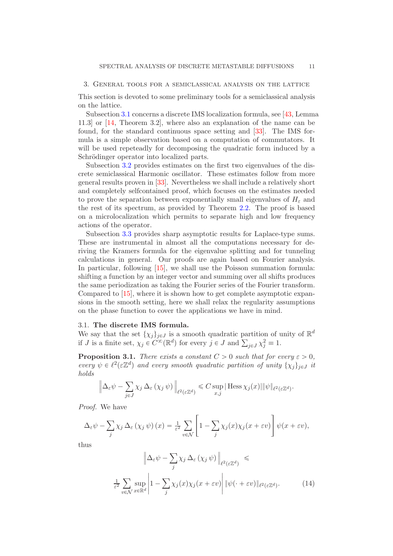### <span id="page-10-0"></span>3. General tools for a semiclassical analysis on the lattice

This section is devoted to some preliminary tools for a semiclassical analysis on the lattice.

Subsection [3.1](#page-10-1) concerns a discrete IMS localization formula, see [\[43,](#page-34-19) Lemma 11.3] or [\[14,](#page-33-14) Theorem 3.2], where also an explanation of the name can be found, for the standard continuous space setting and [\[33\]](#page-34-5). The IMS formula is a simple observation based on a computation of commutators. It will be used repeteadly for decomposing the quadratic form induced by a Schrödinger operator into localized parts.

Subsection [3.2](#page-11-0) provides estimates on the first two eigenvalues of the discrete semiclassical Harmonic oscillator. These estimates follow from more general results proven in [\[33\]](#page-34-5). Nevertheless we shall include a relatively short and completely selfcontained proof, which focuses on the estimates needed to prove the separation between exponentially small eigenvalues of  $H_{\varepsilon}$  and the rest of its spectrum, as provided by Theorem [2.2.](#page-6-0) The proof is based on a microlocalization which permits to separate high and low frequency actions of the operator.

Subsection [3.3](#page-14-0) provides sharp asymptotic results for Laplace-type sums. These are instrumental in almost all the computations necessary for deriving the Kramers formula for the eigenvalue splitting and for tunneling calculations in general. Our proofs are again based on Fourier analysis. In particular, following [\[15\]](#page-33-4), we shall use the Poisson summation formula: shifting a function by an integer vector and summing over all shifts produces the same periodization as taking the Fourier series of the Fourier transform. Compared to [\[15\]](#page-33-4), where it is shown how to get complete asymptotic expansions in the smooth setting, here we shall relax the regularity assumptions on the phase function to cover the applications we have in mind.

# <span id="page-10-1"></span>3.1. The discrete IMS formula.

We say that the set  $\{\chi_j\}_{j\in J}$  is a smooth quadratic partition of unity of  $\mathbb{R}^d$ if *J* is a finite set,  $\chi_j \in C^{\infty}(\mathbb{R}^d)$  for every  $j \in J$  and  $\sum_{j \in J} \chi_j^2 \equiv 1$ .

<span id="page-10-3"></span>**Proposition 3.1.** There exists a constant  $C > 0$  such that for every  $\varepsilon > 0$ , every  $\psi \in \ell^2(\varepsilon \mathbb{Z}^d)$  and every smooth quadratic partition of unity  $\{\chi_j\}_{j\in J}$  it holds

$$
\left\|\Delta_{\varepsilon}\psi-\sum_{j\in J}\chi_j\,\Delta_{\varepsilon}\left(\chi_j\,\psi\right)\right\|_{\ell^2(\varepsilon\mathbb{Z}^d)}\leqslant C\sup_{x,j}\|\text{Hess}\,\chi_j(x)\|\psi\|_{\ell^2(\varepsilon\mathbb{Z}^d)}.
$$

Proof. We have

$$
\Delta_{\varepsilon} \psi - \sum_{j} \chi_{j} \Delta_{\varepsilon} (\chi_{j} \psi) (x) = \frac{1}{\varepsilon^{2}} \sum_{v \in \mathcal{N}} \left[ 1 - \sum_{j} \chi_{j} (x) \chi_{j} (x + \varepsilon v) \right] \psi(x + \varepsilon v),
$$

thus

<span id="page-10-2"></span>
$$
\left\| \Delta_{\varepsilon} \psi - \sum_{j} \chi_{j} \Delta_{\varepsilon} (\chi_{j} \psi) \right\|_{\ell^{2}(\varepsilon \mathbb{Z}^{d})} \leq \frac{1}{\varepsilon^{2}} \sum_{v \in \mathcal{N}} \sup_{x \in \mathbb{R}^{d}} \left| 1 - \sum_{j} \chi_{j}(x) \chi_{j}(x + \varepsilon v) \right| \|\psi(\cdot + \varepsilon v)\|_{\ell^{2}(\varepsilon \mathbb{Z}^{d})}. \tag{14}
$$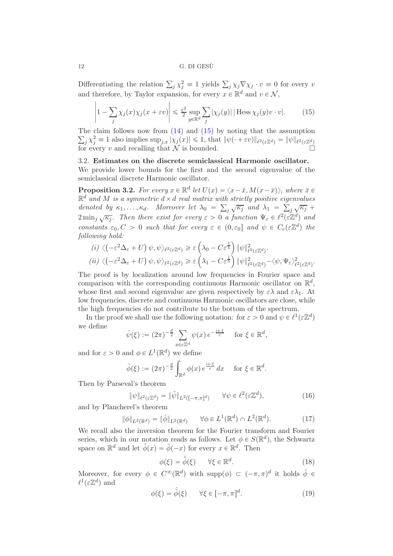Differentiating the relation  $\sum_j \chi_j^2 \equiv 1$  yields  $\sum_j \chi_j \nabla \chi_j \cdot v \equiv 0$  for every v and therefore, by Taylor expansion, for every  $x \in \mathbb{R}^d$  and  $v \in \mathcal{N}$ ,

<span id="page-11-1"></span>
$$
\left| 1 - \sum_{j} \chi_j(x) \chi_j(x + \varepsilon v) \right| \leq \frac{\varepsilon^2}{2} \sup_{y \in \mathbb{R}^d} \sum_{j} |\chi_j(y)| |\text{Hess}\,\chi_j(y)v \cdot v|. \tag{15}
$$

 $\sum_j \chi_j^2 \equiv 1$  also implies  $\sup_{j,x} |\chi_j(x)| \leq 1$ , that  $\|\psi(\cdot + \varepsilon v)\|_{\ell^2(\varepsilon \mathbb{Z}^d)} = \|\psi\|_{\ell^2(\varepsilon \mathbb{Z}^d)}$ <br>for every v and recalling that  $\mathcal N$  is bounded. The claim follows now from  $(14)$  and  $(15)$  by noting that the assumption

### <span id="page-11-0"></span>3.2. Estimates on the discrete semiclassical Harmonic oscillator.

We provide lower bounds for the first and the second eigenvalue of the semiclassical discrete Harmonic oscillator.

<span id="page-11-2"></span>**Proposition 3.2.** For every  $x \in \mathbb{R}^d$  let  $U(x) = \langle x - \bar{x}, M(x - \bar{x}) \rangle$ , where  $\bar{x} \in \mathbb{R}^d$  $\mathbb{R}^d$  and M is a symmetric  $d \times d$  real matrix with strictly positive eigenvalues denoted by  $\kappa_1, \ldots, \kappa_d$ . Moreover let  $\lambda_0 = \sum_j \sqrt{\kappa_j}$  and  $\lambda_1 = \sum_j \sqrt{\kappa_j} +$  $2 \min_j \sqrt{\kappa_j}$ . Then there exist for every  $\varepsilon > 0$  a function  $\Psi_{\varepsilon} \in \ell^2(\varepsilon \mathbb{Z}^d)$  and constants  $\varepsilon_0, C > 0$  such that for every  $\varepsilon \in (0, \varepsilon_0]$  and  $\psi \in C_c(\varepsilon \mathbb{Z}^d)$  the following hold:

$$
(i) \langle (-\varepsilon^2 \Delta_{\varepsilon} + U) \psi, \psi \rangle_{\ell^2(\varepsilon \mathbb{Z}^d)} \geq \varepsilon \left( \lambda_0 - C \varepsilon^{\frac{1}{5}} \right) \|\psi\|_{\ell^2(\varepsilon \mathbb{Z}^d)}^2.
$$
  

$$
(ii) \langle (-\varepsilon^2 \Delta_{\varepsilon} + U) \psi, \psi \rangle_{\ell^2(\varepsilon \mathbb{Z}^d)} \geq \varepsilon \left( \lambda_1 - C \varepsilon^{\frac{1}{5}} \right) \|\psi\|_{\ell^2(\varepsilon \mathbb{Z}^d)}^2 - \langle \psi, \Psi_{\varepsilon} \rangle_{\ell^2(\varepsilon \mathbb{Z}^d)}^2.
$$

The proof is by localization around low frequencies in Fourier space and comparison with the corresponding continuous Harmonic oscillator on  $\mathbb{R}^d$ , whose first and second eigenvalue are given respectively by  $\varepsilon\lambda$  and  $\varepsilon\lambda_1$ . At low frequencies, discrete and continuous Harmonic oscillators are close, while the high frequencies do not contribute to the bottom of the spectrum.

In the proof we shall use the following notation: for  $\varepsilon > 0$  and  $\psi \in \ell^1(\varepsilon \mathbb{Z}^d)$ we define

$$
\hat{\psi}(\xi) := (2\pi)^{-\frac{d}{2}} \sum_{x \in \mathbb{Z}^d} \psi(x) e^{-\frac{i x \cdot \xi}{\varepsilon}} \quad \text{for } \xi \in \mathbb{R}^d,
$$

and for  $\varepsilon > 0$  and  $\phi \in L^1(\mathbb{R}^d)$  we define

$$
\check{\phi}(\xi) := (2\pi)^{-\frac{d}{2}} \int_{\mathbb{R}^d} \phi(x) e^{\frac{\mathrm{i}x \cdot \xi}{\varepsilon}} dx \quad \text{ for } \xi \in \mathbb{R}^d.
$$

Then by Parseval's theorem

<span id="page-11-3"></span>
$$
\|\psi\|_{\ell^2(\varepsilon\mathbb{Z}^d)} = \|\hat{\psi}\|_{L^2([-\pi,\pi]^d)} \qquad \forall \psi \in \ell^2(\varepsilon\mathbb{Z}^d),\tag{16}
$$

and by Plancherel's theorem

<span id="page-11-4"></span>
$$
\|\phi\|_{L^2(\mathbb{R}^d)} = \|\check{\phi}\|_{L^2(\mathbb{R}^d)} \qquad \forall \phi \in L^1(\mathbb{R}^d) \cap L^2(\mathbb{R}^d). \tag{17}
$$

We recall also the inversion theorem for the Fourier transform and Fourier series, which in our notation reads as follows. Let  $\phi \in S(\mathbb{R}^d)$ , the Schwartz space on  $\mathbb{R}^d$  and let  $\tilde{\phi}(x) = \check{\phi}(-x)$  for every  $x \in \mathbb{R}^d$ . Then

<span id="page-11-5"></span>
$$
\phi(\xi) = \tilde{\phi}(\xi) \qquad \forall \xi \in \mathbb{R}^d. \tag{18}
$$

Moreover, for every  $\phi \in C^{\infty}(\mathbb{R}^d)$  with  $\text{supp}(\phi) \subset (-\pi, \pi)^d$  it holds  $\check{\phi} \in$  $\ell^1(\varepsilon \mathbb{Z}^d)$  and

<span id="page-11-6"></span>
$$
\phi(\xi) = \hat{\phi}(\xi) \qquad \forall \xi \in [-\pi, \pi]^d. \tag{19}
$$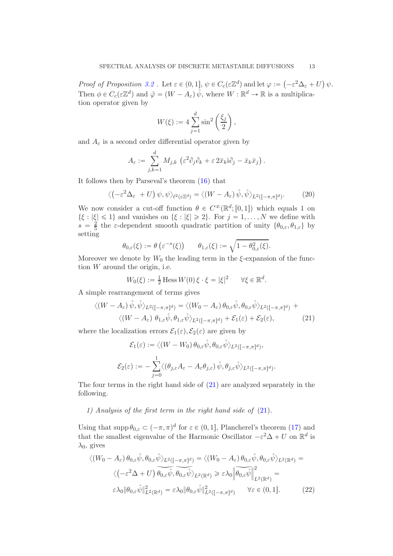Proof of Proposition [3.2](#page-11-2). Let  $\varepsilon \in (0, 1], \psi \in C_c(\varepsilon \mathbb{Z}^d)$  and let  $\varphi := (-\varepsilon^2 \Delta_{\varepsilon} + U) \psi$ . Then  $\phi \in C_c(\varepsilon \mathbb{Z}^d)$  and  $\hat{\varphi} = (W - A_{\varepsilon}) \hat{\psi}$ , where  $W : \mathbb{R}^d \to \mathbb{R}$  is a multiplication operator given by

$$
W(\xi) := 4 \sum_{j=1}^{d} \sin^2 \left(\frac{\xi_j}{2}\right),
$$

and  $A_{\varepsilon}$  is a second order differential operator given by

$$
A_{\varepsilon} := \sum_{j,k=1}^d M_{j,k} \left( \varepsilon^2 \partial_j \partial_k + \varepsilon \, 2 \bar{x}_k i \partial_j - \bar{x}_k \bar{x}_j \right).
$$

It follows then by Parseval's theorem [\(16\)](#page-11-3) that

<span id="page-12-1"></span>
$$
\langle \left( -\varepsilon^2 \Delta_{\varepsilon} + U \right) \psi, \psi \rangle_{\ell^2(\varepsilon \mathbb{Z}^d)} = \langle (W - A_{\varepsilon}) \hat{\psi}, \hat{\psi} \rangle_{L^2([- \pi, \pi]^d)}.
$$
 (20)

We now consider a cut-off function  $\theta \in C^{\infty}(\mathbb{R}^d; [0, 1])$  which equals 1 on  $\{\xi : |\xi| \leq 1\}$  and vanishes on  $\{\xi : |\xi| \geq 2\}$ . For  $j = 1, ..., N$  we define with  $s = \frac{2}{5}$  $\frac{2}{5}$  the  $\varepsilon$ -dependent smooth quadratic partition of unity  $\{\theta_{0,\varepsilon}, \theta_{1,\varepsilon}\}\$  by setting

$$
\theta_{0,\varepsilon}(\xi) := \theta\left(\varepsilon^{-s}(\xi)\right) \qquad \theta_{1,\varepsilon}(\xi) := \sqrt{1 - \theta_{0,\varepsilon}^2(\xi)}.
$$

Moreover we denote by  $W_0$  the leading term in the  $\xi$ -expansion of the function  $W$  around the origin, i.e.

<span id="page-12-0"></span>
$$
W_0(\xi) := \frac{1}{2} \operatorname{Hess} W(0) \xi \cdot \xi = |\xi|^2 \quad \forall \xi \in \mathbb{R}^d.
$$

A simple rearrangement of terms gives

$$
\langle (W - A_{\varepsilon}) \hat{\psi}, \hat{\psi} \rangle_{L^2([- \pi, \pi]^d)} = \langle (W_0 - A_{\varepsilon}) \theta_{0, \varepsilon} \hat{\psi}, \theta_{0, \varepsilon} \hat{\psi} \rangle_{L^2([- \pi, \pi]^d)} + \langle (W - A_{\varepsilon}) \theta_{1, \varepsilon} \hat{\psi}, \theta_{1, \varepsilon} \hat{\psi} \rangle_{L^2([- \pi, \pi]^d)} + \mathcal{E}_1(\varepsilon) + \mathcal{E}_2(\varepsilon),
$$
\n(21)

where the localization errors  $\mathcal{E}_1(\varepsilon), \mathcal{E}_2(\varepsilon)$  are given by

$$
\mathcal{E}_1(\varepsilon) := \langle (W - W_0) \, \theta_{0,\varepsilon} \hat{\psi}, \theta_{0,\varepsilon} \hat{\psi} \rangle_{L^2([-\pi,\pi]^d)},
$$
\n
$$
\mathcal{E}_2(\varepsilon) := -\sum_{j=0}^1 \langle (\theta_{j,\varepsilon} A_{\varepsilon} - A_{\varepsilon} \theta_{j,\varepsilon}) \, \hat{\psi}, \theta_{j,\varepsilon} \hat{\psi} \rangle_{L^2([-\pi,\pi]^d)}.
$$

The four terms in the right hand side of  $(21)$  are analyzed separately in the following.

# 1) Analysis of the first term in the right hand side of [\(21\)](#page-12-0).

Using that  $\text{supp }\theta_{0,\varepsilon} \subset (-\pi,\pi)^d$  for  $\varepsilon \in (0,1]$ , Plancherel's theorem [\(17\)](#page-11-4) and that the smallest eigenvalue of the Harmonic Oscillator  $-\varepsilon^2 \Delta + U$  on  $\mathbb{R}^d$  is  $\lambda_0$ , gives

<span id="page-12-2"></span>
$$
\langle (W_0 - A_{\varepsilon}) \theta_{0,\varepsilon} \hat{\psi}, \theta_{0,\varepsilon} \hat{\psi} \rangle_{L^2([-\pi,\pi]^d)} = \langle (W_0 - A_{\varepsilon}) \theta_{0,\varepsilon} \hat{\psi}, \theta_{0,\varepsilon} \hat{\psi} \rangle_{L^2(\mathbb{R}^d)} =
$$
  

$$
\langle (-\varepsilon^2 \Delta + U) \overline{\theta_{0,\varepsilon} \hat{\psi}}, \overline{\theta_{0,\varepsilon} \hat{\psi}} \rangle_{L^2(\mathbb{R}^d)} \geq \varepsilon \lambda_0 \left\| \overline{\theta_{0,\varepsilon} \hat{\psi}} \right\|_{L^2(\mathbb{R}^d)}^2 =
$$
  

$$
\varepsilon \lambda_0 \|\theta_{0,\varepsilon} \hat{\psi}\|_{L^2(\mathbb{R}^d)}^2 = \varepsilon \lambda_0 \|\theta_{0,\varepsilon} \hat{\psi}\|_{L^2([-\pi,\pi]^d)}^2 \qquad \forall \varepsilon \in (0,1].
$$
 (22)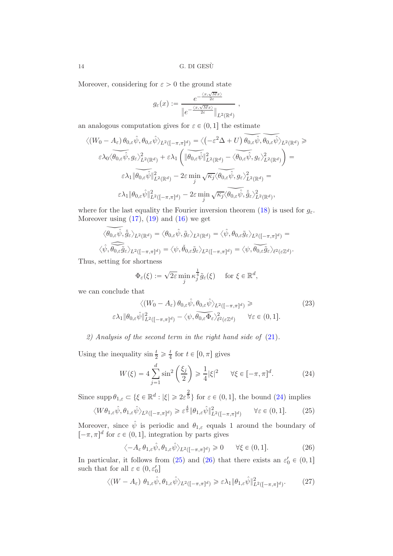Moreover, considering for  $\varepsilon > 0$  the ground state

$$
g_{\varepsilon}(x) := \frac{e^{-\frac{\langle x, \sqrt{M}x \rangle}{2\varepsilon}}}{\|e^{-\frac{\langle x, \sqrt{M}x \rangle}{2\varepsilon}}\|_{L^2(\mathbb{R}^d)}},
$$

an analogous computation gives for  $\varepsilon \in (0, 1]$  the estimate

$$
\langle (W_0 - A_{\varepsilon}) \theta_{0,\varepsilon} \hat{\psi}, \theta_{0,\varepsilon} \hat{\psi} \rangle_{L^2([-\pi,\pi]^d)} = \langle (-\varepsilon^2 \Delta + U) \theta_{0,\varepsilon} \hat{\psi}, \theta_{0,\varepsilon} \hat{\psi} \rangle_{L^2(\mathbb{R}^d)} \ge
$$

$$
\varepsilon \lambda_0 \langle \overline{\theta_{0,\varepsilon} \hat{\psi}}, g_{\varepsilon} \rangle_{L^2(\mathbb{R}^d)}^2 + \varepsilon \lambda_1 \left( \| \overline{\theta_{0,\varepsilon} \hat{\psi}} \|_{L^2(\mathbb{R}^d)}^2 - \langle \overline{\theta_{0,\varepsilon} \hat{\psi}}, g_{\varepsilon} \rangle_{L^2(\mathbb{R}^d)}^2 \right) =
$$

$$
\varepsilon \lambda_1 \| \overline{\theta_{0,\varepsilon} \hat{\psi}} \|_{L^2(\mathbb{R}^d)}^2 - 2\varepsilon \min_j \sqrt{\kappa_j} \langle \overline{\theta_{0,\varepsilon} \hat{\psi}}, g_{\varepsilon} \rangle_{L^2(\mathbb{R}^d)}^2 =
$$

$$
\varepsilon \lambda_1 \| \theta_{0,\varepsilon} \hat{\psi} \|_{L^2([-\pi,\pi]^d)}^2 - 2\varepsilon \min_j \sqrt{\kappa_j} \langle \overline{\theta_{0,\varepsilon} \hat{\psi}}, \tilde{g}_{\varepsilon} \rangle_{L^2(\mathbb{R}^d)}^2,
$$

where for the last equality the Fourier inversion theorem [\(18\)](#page-11-5) is used for  $g_{\varepsilon}$ . Moreover using  $(17)$ ,  $(19)$  and  $(16)$  we get

$$
\langle \theta_{0,\varepsilon} \hat{\psi}, \check{\tilde{g}}_{\varepsilon} \rangle_{L^2(\mathbb{R}^d)} = \langle \theta_{0,\varepsilon} \hat{\psi}, \tilde{g}_{\varepsilon} \rangle_{L^2(\mathbb{R}^d)} = \langle \hat{\psi}, \theta_{0,\varepsilon} \tilde{g}_{\varepsilon} \rangle_{L^2([-{\pi},{\pi}]^d)} =
$$
  

$$
\langle \hat{\psi}, \widetilde{\theta_{0,\varepsilon}} \tilde{g}_{\varepsilon} \rangle_{L^2([-{\pi},{\pi}]^d)} = \langle \psi, \check{\theta}_{0,\varepsilon} \tilde{g}_{\varepsilon} \rangle_{L^2([-{\pi},{\pi}]^d)} = \langle \psi, \widetilde{\theta_{0,\varepsilon}} \tilde{g}_{\varepsilon} \rangle_{\ell^2(\varepsilon \mathbb{Z}^d)}.
$$

Thus, setting for shortness

<span id="page-13-4"></span>
$$
\Phi_\varepsilon(\xi):=\sqrt{2\varepsilon}\min_j \kappa_j^{\frac{1}{4}}\tilde g_\varepsilon(\xi)\quad \text{ for }\xi\in\mathbb{R}^d,
$$

we can conclude that

$$
\langle (W_0 - A_{\varepsilon}) \theta_{0,\varepsilon} \hat{\psi}, \theta_{0,\varepsilon} \hat{\psi} \rangle_{L^2([-\pi,\pi]^d)} \geq
$$
\n
$$
\varepsilon \lambda_1 \| \theta_{0,\varepsilon} \hat{\psi} \|_{L^2([-\pi,\pi]^d)}^2 - \langle \psi, \overline{\theta_{0,\varepsilon}} \overline{\Phi}_{\varepsilon} \rangle_{\ell^2(\varepsilon \mathbb{Z}^d)}^2 \qquad \forall \varepsilon \in (0,1].
$$
\n(23)

2) Analysis of the second term in the right hand side of [\(21\)](#page-12-0).

Using the inequality  $\sin \frac{t}{2} \geq \frac{t}{4}$  for  $t \in [0, \pi]$  gives

<span id="page-13-0"></span>
$$
W(\xi) = 4 \sum_{j=1}^{d} \sin^2\left(\frac{\xi_j}{2}\right) \ge \frac{1}{4} |\xi|^2 \qquad \forall \xi \in [-\pi, \pi]^d. \tag{24}
$$

Since  $\text{supp }\theta_{1,\varepsilon}\subset \{\xi\in \mathbb{R}^d: |\xi|\geqslant 2\varepsilon^{\frac{2}{5}}\}$  for  $\varepsilon\in (0,1]$ , the bound  $(24)$  implies

<span id="page-13-1"></span>
$$
\langle W\theta_{1,\varepsilon}\hat{\psi},\theta_{1,\varepsilon}\hat{\psi}\rangle_{L^2([-\pi,\pi]^d)} \geqslant \varepsilon^{\frac{4}{5}} \|\theta_{1,\varepsilon}\hat{\psi}\|_{L^2([-\pi,\pi]^d)}^2 \qquad \forall \varepsilon \in (0,1].\tag{25}
$$

Moreover, since  $\hat{\psi}$  is periodic and  $\theta_{1,\varepsilon}$  equals 1 around the boundary of  $[-\pi, \pi]^d$  for  $\varepsilon \in (0, 1]$ , integration by parts gives

<span id="page-13-2"></span>
$$
\langle -A_{\varepsilon} \theta_{1,\varepsilon} \hat{\psi}, \theta_{1,\varepsilon} \hat{\psi} \rangle_{L^2([-\pi,\pi]^d)} \ge 0 \quad \forall \xi \in (0,1]. \tag{26}
$$

In particular, it follows from [\(25\)](#page-13-1) and [\(26\)](#page-13-2) that there exists an  $\varepsilon'_0 \in (0,1]$ such that for all  $\varepsilon \in (0, \varepsilon_0']$ 

<span id="page-13-3"></span>
$$
\langle (W - A_{\varepsilon}) \theta_{1,\varepsilon} \hat{\psi}, \theta_{1,\varepsilon} \hat{\psi} \rangle_{L^2([-\pi,\pi]^d)} \geq \varepsilon \lambda_1 \| \theta_{1,\varepsilon} \hat{\psi} \|_{L^2([-\pi,\pi]^d)}^2. \tag{27}
$$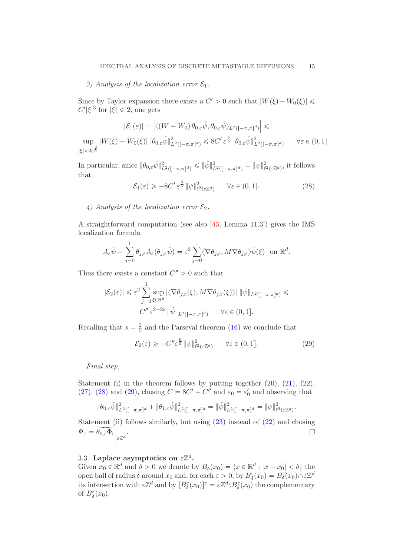# 3) Analysis of the localization error  $\mathcal{E}_1$ .

Since by Taylor expansion there exists a  $C' > 0$  such that  $|W(\xi) - W_0(\xi)| \leq$  $C'|\xi|^3$  for  $|\xi| \leq 2$ , one gets

$$
|\mathcal{E}_1(\varepsilon)| = \left| \langle (W - W_0) \theta_{0,\varepsilon} \hat{\psi}, \theta_{0,\varepsilon} \hat{\psi} \rangle_{L^2([- \pi, \pi]^d)} \right| \leq
$$
  
\n
$$
\sup_{|\xi| < 2\varepsilon^{\frac{2}{5}}} |W(\xi) - W_0(\xi)| \|\theta_{0,\varepsilon} \hat{\psi}\|_{L^2([- \pi, \pi]^d)}^2 \leq 8C' \varepsilon^{\frac{6}{5}} \|\theta_{0,\varepsilon} \hat{\psi}\|_{L^2([- \pi, \pi]^d)}^2 \qquad \forall \varepsilon \in (0, 1].
$$

 $\text{In particular, since } \|\theta_{0,\varepsilon}\hat{\psi}\|_{L^2([-\pi,\pi]^d)}^2 \leqslant \|\hat{\psi}\|_{L^2([-\pi,\pi]^d)}^2 = \|\psi\|_{\ell^2}^2$  $\mathbb{Z}_{\ell^2(\varepsilon\mathbb{Z}^d)}^2$ , it follows that

<span id="page-14-1"></span>
$$
\mathcal{E}_1(\varepsilon) \ge -8C' \varepsilon^{\frac{6}{5}} \|\psi\|_{\ell^2(\varepsilon \mathbb{Z}^d)}^2 \qquad \forall \varepsilon \in (0,1].
$$
 (28)

## 4) Analysis of the localization error  $\mathcal{E}_2$ .

A straightforward computation (see also [\[43,](#page-34-19) Lemma 11.3]) gives the IMS localization formula

$$
A_{\varepsilon}\hat{\psi} - \sum_{j=0}^{1} \theta_{j,\varepsilon} A_{\varepsilon}(\theta_{j,\varepsilon}\hat{\psi}) = \varepsilon^{2} \sum_{j=0}^{1} \langle \nabla \theta_{j,\varepsilon}, M \nabla \theta_{j,\varepsilon} \rangle \hat{\psi}(\xi) \text{ on } \mathbb{R}^{d}.
$$

Thus there exists a constant  $C'' > 0$  such that

$$
|\mathcal{E}_2(\varepsilon)| \leq \varepsilon^2 \sum_{j=0}^1 \sup_{\xi \in \mathbb{R}^d} |\langle \nabla \theta_{j,\varepsilon}(\xi), M \nabla \theta_{j,\varepsilon}(\xi) \rangle| \|\hat{\psi}\|_{L^2([-\pi,\pi]^d)} \leq C'' \varepsilon^{2-2s} \|\hat{\psi}\|_{L^2([-\pi,\pi]^d)} \quad \forall \varepsilon \in (0,1].
$$

Recalling that  $s = \frac{2}{5}$  $\frac{2}{5}$  and the Parseval theorem [\(16\)](#page-11-3) we conclude that

<span id="page-14-2"></span>
$$
\mathcal{E}_2(\varepsilon) \geq -C'' \varepsilon^{\frac{6}{5}} \|\psi\|_{\ell^2(\varepsilon \mathbb{Z}^d)}^2 \qquad \forall \varepsilon \in (0, 1]. \tag{29}
$$

Final step.

Statement (i) in the theorem follows by putting together  $(20)$ ,  $(21)$ ,  $(22)$ , [\(27\)](#page-13-3), [\(28\)](#page-14-1) and [\(29\)](#page-14-2), chosing  $C = 8C' + C''$  and  $\varepsilon_0 = \varepsilon'_0$  and observing that

$$
\|\theta_{0,\varepsilon}\hat{\psi}\|_{L^2([-\pi,\pi]^d}^2+\|\theta_{1,\varepsilon}\hat{\psi}\|_{L^2([-\pi,\pi]^d}^2=\|\hat{\psi}\|_{L^2([-\pi,\pi]^d}^2=\|\psi\|_{\ell^2(\varepsilon\mathbb{Z}^d)}^2.
$$

Statement (ii) follows similarly, but using  $(23)$  instead of  $(22)$  and chosing  $\Psi_{\varepsilon} = \theta_{0, \varepsilon} \Phi_{\varepsilon} \bigg|_{\varepsilon \mathbb{Z}^d}$ .

# <span id="page-14-0"></span>3.3. Laplace asymptotics on  $\varepsilon\mathbb{Z}^d$ .

Given  $x_0 \in \mathbb{R}^d$  and  $\delta > 0$  we denote by  $B_{\delta}(x_0) = \{x \in \mathbb{R}^d : |x - x_0| < \delta\}$  the open ball of radius  $\delta$  around  $x_0$  and, for each  $\varepsilon > 0$ , by  $B_{\delta}^{\varepsilon}(x_0) = B_{\delta}(x_0) \cap \varepsilon \mathbb{Z}^d$ its intersection with  $\epsilon \mathbb{Z}^d$  and by  $[B_\delta^\epsilon(x_0)]^c = \epsilon \mathbb{Z}^d \setminus B_\delta^\epsilon(x_0)$  the complementary of  $B_{\delta}^{\varepsilon}(x_0)$ .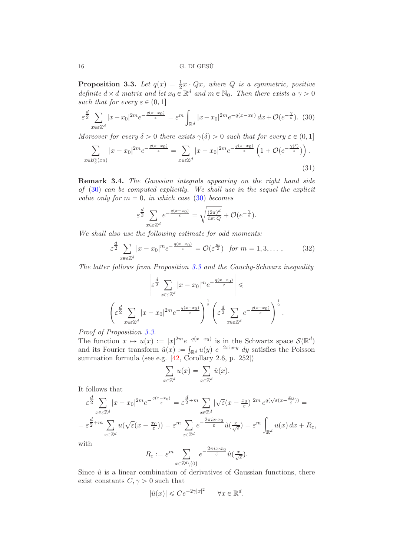<span id="page-15-1"></span>**Proposition 3.3.** Let  $q(x) = \frac{1}{2}x \cdot Qx$ , where Q is a symmetric, positive definite  $d \times d$  matrix and let  $x_0 \in \mathbb{R}^d$  and  $m \in \mathbb{N}_0$ . Then there exists  $a \gamma > 0$ such that for every  $\varepsilon \in (0, 1]$ 

<span id="page-15-0"></span>
$$
\varepsilon^{\frac{d}{2}} \sum_{x \in \varepsilon \mathbb{Z}^d} |x - x_0|^{2m} e^{-\frac{q(x - x_0)}{\varepsilon}} = \varepsilon^m \int_{\mathbb{R}^d} |x - x_0|^{2m} e^{-q(x - x_0)} dx + \mathcal{O}(e^{-\frac{\gamma}{\varepsilon}}). (30)
$$

Moreover for every  $\delta > 0$  there exists  $\gamma(\delta) > 0$  such that for every  $\varepsilon \in (0, 1]$ 

<span id="page-15-2"></span>
$$
\sum_{x \in B_{\delta}^{\varepsilon}(x_0)} |x - x_0|^{2m} e^{-\frac{q(x - x_0)}{\varepsilon}} = \sum_{x \in \mathbb{Z}^d} |x - x_0|^{2m} e^{-\frac{q(x - x_0)}{\varepsilon}} \left(1 + \mathcal{O}(e^{-\frac{\gamma(\delta)}{\varepsilon}})\right).
$$
\n(31)

Remark 3.4. The Gaussian integrals appearing on the right hand side of [\(30\)](#page-15-0) can be computed explicitly. We shall use in the sequel the explicit value only for  $m = 0$ , in which case [\(30\)](#page-15-0) becomes

$$
\varepsilon^{\frac{d}{2}} \sum_{x \in \varepsilon \mathbb{Z}^d} e^{-\frac{q(x-x_0)}{\varepsilon}} = \sqrt{\frac{(2\pi)^d}{\det Q}} + \mathcal{O}(e^{-\frac{\gamma}{\varepsilon}}).
$$

We shall also use the following estimate for odd moments:

<span id="page-15-3"></span>
$$
\varepsilon^{\frac{d}{2}} \sum_{x \in \varepsilon \mathbb{Z}^d} |x - x_0|^m e^{-\frac{q(x - x_0)}{\varepsilon}} = \mathcal{O}(\varepsilon^{\frac{m}{2}}) \quad \text{for } m = 1, 3, \dots \,, \tag{32}
$$

The latter follows from Proposition [3.3](#page-15-1) and the Cauchy-Schwarz inequality

$$
\left| \varepsilon^{\frac{d}{2}} \sum_{x \in \varepsilon \mathbb{Z}^d} |x - x_0|^{m} e^{-\frac{q(x - x_0)}{\varepsilon}} \right| \leq \left( \varepsilon^{\frac{d}{2}} \sum_{x \in \varepsilon \mathbb{Z}^d} |x - x_0|^{2m} e^{-\frac{q(x - x_0)}{\varepsilon}} \right)^{\frac{1}{2}} \left( \varepsilon^{\frac{d}{2}} \sum_{x \in \varepsilon \mathbb{Z}^d} e^{-\frac{q(x - x_0)}{\varepsilon}} \right)^{\frac{1}{2}}.
$$

Proof of Proposition [3.3.](#page-15-1)

The function  $x \mapsto u(x) := |x|^{2m} e^{-q(x-x_0)}$  is in the Schwartz space  $\mathcal{S}(\mathbb{R}^d)$ and its Fourier transform  $\hat{u}(x) := \int_{\mathbb{R}^d} u(y) e^{-2\pi i x \cdot y} dy$  satisfies the Poisson summation formula (see e.g.  $[42,$  Corollary 2.6, p. 252])

$$
\sum_{x \in \mathbb{Z}^d} u(x) = \sum_{x \in \mathbb{Z}^d} \hat{u}(x).
$$

It follows that

$$
\varepsilon^{\frac{d}{2}} \sum_{x \in \varepsilon \mathbb{Z}^d} |x - x_0|^{2m} e^{-\frac{q(x - x_0)}{\varepsilon}} = \varepsilon^{\frac{d}{2} + m} \sum_{x \in \mathbb{Z}^d} |\sqrt{\varepsilon} (x - \frac{x_0}{\varepsilon})|^{2m} e^{q(\sqrt{\varepsilon} (x - \frac{x_0}{\varepsilon}))} =
$$
  

$$
= \varepsilon^{\frac{d}{2} + m} \sum_{x \in \mathbb{Z}^d} u(\sqrt{\varepsilon} (x - \frac{x_0}{\varepsilon})) = \varepsilon^m \sum_{x \in \mathbb{Z}^d} e^{-\frac{2\pi ix \cdot x_0}{\varepsilon}} \hat{u}(\frac{x}{\sqrt{\varepsilon}}) = \varepsilon^m \int_{\mathbb{R}^d} u(x) dx + R_{\varepsilon},
$$

with

$$
R_{\varepsilon} := \varepsilon^m \sum_{x \in \mathbb{Z}^d \setminus \{0\}} e^{-\frac{2\pi ix \cdot x_0}{\varepsilon}} \hat{u}(\frac{x}{\sqrt{\varepsilon}}).
$$

Since  $\hat{u}$  is a linear combination of derivatives of Gaussian functions, there exist constants  $C, \gamma > 0$  such that

$$
|\hat{u}(x)| \leqslant Ce^{-2\gamma|x|^2} \qquad \forall x \in \mathbb{R}^d.
$$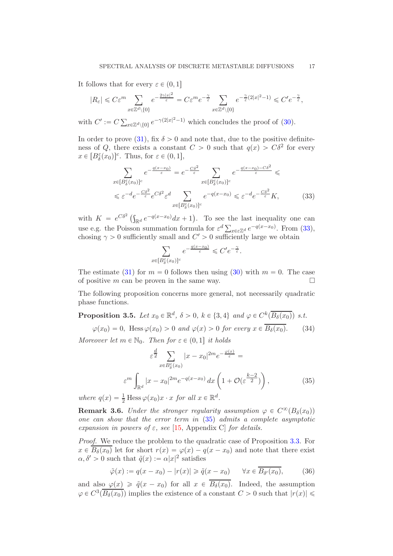It follows that for every  $\varepsilon \in (0, 1]$ 

$$
|R_{\varepsilon}| \leqslant C \varepsilon^m \sum_{x \in \mathbb{Z}^d \backslash \{0\}} e^{-\frac{2 \gamma |x|^2}{\varepsilon}} = C \varepsilon^m e^{-\frac{\gamma}{\varepsilon}} \sum_{x \in \mathbb{Z}^d \backslash \{0\}} e^{-\frac{\gamma}{\varepsilon}(2|x|^2 - 1)} \leqslant C' e^{-\frac{\gamma}{\varepsilon}},
$$

with  $C' := C \sum_{x \in \mathbb{Z}^d \setminus \{0\}} e^{-\gamma(2|x|^2 - 1)}$  which concludes the proof of [\(30\)](#page-15-0).

In order to prove [\(31\)](#page-15-2), fix  $\delta > 0$  and note that, due to the positive definiteness of Q, there exists a constant  $C > 0$  such that  $q(x) > C\delta^2$  for every  $x \in [B_{\delta}^{\varepsilon}(x_0)]^c$ . Thus, for  $\varepsilon \in (0, 1],$ 

$$
\sum_{x \in [B_{\delta}^{\varepsilon}(x_0)]^c} e^{-\frac{q(x-x_0)}{\varepsilon}} = e^{-\frac{C\delta^2}{\varepsilon}} \sum_{x \in [B_{\delta}^{\varepsilon}(x_0)]^c} e^{-\frac{q(x-x_0) - C\delta^2}{\varepsilon}} \leq
$$
\n
$$
\leq \varepsilon^{-d} e^{-\frac{C\delta^2}{\varepsilon}} e^{C\delta^2} \varepsilon^d \sum_{x \in [B_{\delta}^{\varepsilon}(x_0)]^c} e^{-q(x-x_0)} \leq \varepsilon^{-d} e^{-\frac{C\delta^2}{\varepsilon}} K,
$$
\n(33)

with  $K = e^{C\delta^2} \left( \int_{\mathbb{R}^d} e^{-q(x-x_0)} dx + 1 \right)$ . To see the last inequality one can use e.g. the Poisson summation formula for  $\varepsilon^d \sum_{x \in \varepsilon} \mathbb{Z}^d e^{-q(x-x_0)}$ . From [\(33\)](#page-16-0), chosing  $\gamma > 0$  sufficiently small and  $C' > 0$  sufficiently large we obtain

<span id="page-16-0"></span>
$$
\sum_{\substack{\epsilon \in B_\delta^{\varepsilon}(x_0)\subset \epsilon}} e^{-\frac{q(x-x_0)}{\varepsilon}} \leqslant C' e^{-\frac{\gamma}{\varepsilon}}.
$$

The estimate [\(31\)](#page-15-2) for  $m = 0$  follows then using [\(30\)](#page-15-0) with  $m = 0$ . The case of positive m can be proven in the same way of positive  $m$  can be proven in the same way.

The following proposition concerns more general, not necessarily quadratic phase functions.

<span id="page-16-3"></span>**Proposition 3.5.** Let  $x_0 \in \mathbb{R}^d$ ,  $\delta > 0$ ,  $k \in \{3, 4\}$  and  $\varphi \in C^k(\overline{B_{\delta}(x_0)})$  s.t.  $\varphi(x_0) = 0$ , Hess  $\varphi(x_0) > 0$  and  $\varphi(x) > 0$  for every  $x \in \overline{B_{\delta}(x_0)}$ . (34)

Moreover let  $m \in \mathbb{N}_0$ . Then for  $\varepsilon \in (0, 1]$  it holds

 $x$ 

<span id="page-16-1"></span>
$$
\varepsilon^{\frac{d}{2}} \sum_{x \in B_{\delta}^{\varepsilon}(x_0)} |x - x_0|^{2m} e^{-\frac{\varphi(x)}{\varepsilon}} =
$$
  

$$
\varepsilon^m \int_{\mathbb{R}^d} |x - x_0|^{2m} e^{-q(x - x_0)} dx \left(1 + \mathcal{O}(\varepsilon^{\frac{k-2}{2}})\right),
$$
 (35)

where  $q(x) = \frac{1}{2} \text{Hess } \varphi(x_0)x \cdot x \text{ for all } x \in \mathbb{R}^d$ .

**Remark 3.6.** Under the stronger regularity assumption  $\varphi \in C^{\infty}(B_{\delta}(x_0))$ one can show that the error term in  $(35)$  admits a complete asymptotic expansion in powers of  $\varepsilon$ , see [\[15,](#page-33-4) Appendix C] for details.

*Proof.* We reduce the problem to the quadratic case of Proposition [3.3.](#page-15-1) For  $x \in B_\delta(x_0)$  let for short  $r(x) = \varphi(x) - q(x - x_0)$  and note that there exist  $\alpha, \delta' > 0$  such that  $\tilde{q}(x) := \alpha |x|^2$  satisfies

<span id="page-16-2"></span>
$$
\tilde{\varphi}(x) := q(x - x_0) - |r(x)| \ge \tilde{q}(x - x_0) \qquad \forall x \in \overline{B_{\delta'}(x_0)},\tag{36}
$$

and also  $\varphi(x) \geq \tilde{q}(x - x_0)$  for all  $x \in \overline{B_\delta(x_0)}$ . Indeed, the assumption  $\varphi \in C^3(\overline{B_\delta(x_0)})$  implies the existence of a constant  $C > 0$  such that  $|r(x)| \leq$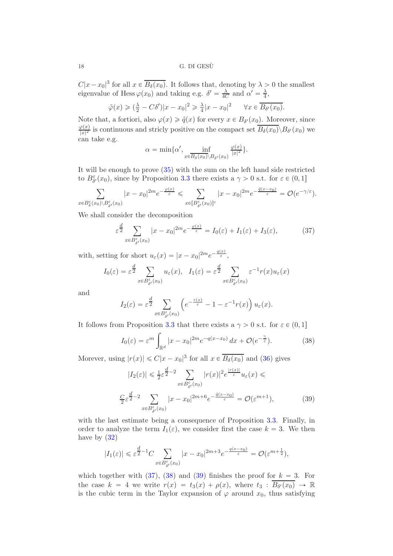$C|x-x_0|^3$  for all  $x \in \overline{B_\delta(x_0)}$ . It follows that, denoting by  $\lambda > 0$  the smallest eigenvalue of Hess  $\varphi(x_0)$  and taking e.g.  $\delta' = \frac{\lambda}{4C}$  and  $\alpha' = \frac{\lambda}{4}$ ,

$$
\tilde{\varphi}(x) \ge (\frac{\lambda}{2} - C\delta')|x - x_0|^2 \ge \frac{\lambda}{4}|x - x_0|^2 \quad \forall x \in \overline{B_{\delta'}(x_0)}.
$$

Note that, a fortiori, also  $\varphi(x) \geq \tilde{q}(x)$  for every  $x \in B_{\delta'}(x_0)$ . Moreover, since  $\varphi(x)$  $\frac{\rho(x)}{|x|^2}$  is continuous and stricly positive on the compact set  $B_\delta(x_0)\backslash B_{\delta'}(x_0)$  we can take e.g.

$$
\alpha = \min\{\alpha', \inf_{x \in \overline{B_{\delta}(x_0)} \setminus B_{\delta'}(x_0)} \frac{\varphi(x)}{|x|^2}\}.
$$

It will be enough to prove [\(35\)](#page-16-1) with the sum on the left hand side restricted to  $B_{\delta'}^{\varepsilon}(x_0)$ , since by Proposition [3.3](#page-15-1) there exists a  $\gamma > 0$  s.t. for  $\varepsilon \in (0, 1]$ 

$$
\sum_{x \in B_{\delta}^{\varepsilon}(x_0) \setminus B_{\delta'}^{\varepsilon}(x_0)} |x - x_0|^{2m} e^{-\frac{\varphi(x)}{\varepsilon}} \leq \sum_{x \in B_{\delta'}^{\varepsilon}(x_0) \leq |x - x_0|^{2m} e^{-\frac{\tilde{q}(x - x_0)}{\varepsilon}} = \mathcal{O}(e^{-\gamma/\varepsilon}).
$$

We shall consider the decomposition

<span id="page-17-0"></span>
$$
\varepsilon^{\frac{d}{2}} \sum_{x \in B_{\delta'}^{\varepsilon}(x_0)} |x - x_0|^{2m} e^{-\frac{\varphi(x)}{\varepsilon}} = I_0(\varepsilon) + I_1(\varepsilon) + I_3(\varepsilon), \tag{37}
$$

with, setting for short  $u_{\varepsilon}(x) = |x - x_0|^{2m} e^{-\frac{q(x)}{\varepsilon}},$ 

$$
I_0(\varepsilon) = \varepsilon^{\frac{d}{2}} \sum_{x \in B_{\delta'}^{\varepsilon}(x_0)} u_{\varepsilon}(x), \quad I_1(\varepsilon) = \varepsilon^{\frac{d}{2}} \sum_{x \in B_{\delta'}^{\varepsilon}(x_0)} \varepsilon^{-1} r(x) u_{\varepsilon}(x)
$$

and

$$
I_2(\varepsilon) = \varepsilon^{\frac{d}{2}} \sum_{x \in B_{\delta'}^{\varepsilon}(x_0)} \left( e^{-\frac{r(x)}{\varepsilon}} - 1 - \varepsilon^{-1} r(x) \right) u_{\varepsilon}(x).
$$

It follows from Proposition [3.3](#page-15-1) that there exists a  $\gamma > 0$  s.t. for  $\varepsilon \in (0, 1]$ 

<span id="page-17-1"></span>
$$
I_0(\varepsilon) = \varepsilon^m \int_{\mathbb{R}^d} |x - x_0|^{2m} e^{-q(x - x_0)} dx + \mathcal{O}(e^{-\frac{\gamma}{\varepsilon}}). \tag{38}
$$

Morever, using  $|r(x)| \leq C|x - x_0|^3$  for all  $x \in \overline{B_\delta(x_0)}$  and [\(36\)](#page-16-2) gives

<span id="page-17-2"></span>
$$
|I_2(\varepsilon)| \le \frac{1}{2}\varepsilon^{\frac{d}{2}-2} \sum_{x \in B_{\delta'}^{\varepsilon}(x_0)} |r(x)|^2 e^{\frac{|r(x)|}{\varepsilon}} u_{\varepsilon}(x) \le
$$
  

$$
\frac{C}{2}\varepsilon^{\frac{d}{2}-2} \sum_{x \in B_{\delta'}^{\varepsilon}(x_0)} |x - x_0|^{2m+6} e^{-\frac{\tilde{q}(x - x_0)}{\varepsilon}} = \mathcal{O}(\varepsilon^{m+1}),
$$
(39)

with the last estimate being a consequence of Proposition [3.3.](#page-15-1) Finally, in order to analyze the term  $I_1(\varepsilon)$ , we consider first the case  $k = 3$ . We then have by  $(32)$ 

$$
|I_1(\varepsilon)| \leqslant \varepsilon^{\frac{d}{2}-1}C\sum_{x\in B_{\delta'}^{\varepsilon}(x_0)}|x-x_0|^{2m+3}e^{-\frac{q(x-x_0)}{\varepsilon}} = \mathcal{O}(\varepsilon^{m+\frac{1}{2}}),
$$

which together with  $(37)$ ,  $(38)$  and  $(39)$  finishes the proof for  $k = 3$ . For the case  $k = 4$  we write  $r(x) = t_3(x) + \rho(x)$ , where  $t_3 : \overline{B_{\delta'}(x_0)} \to \mathbb{R}$ is the cubic term in the Taylor expansion of  $\varphi$  around  $x_0$ , thus satisfying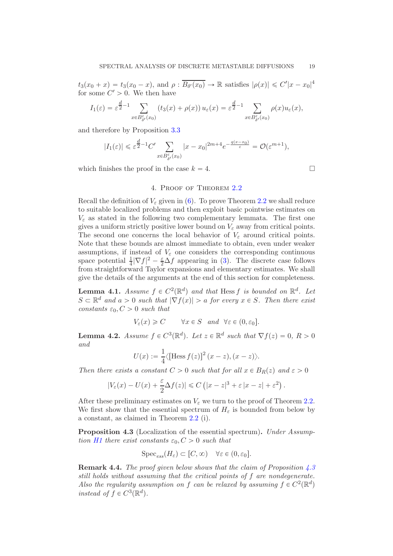$t_3(x_0+x) = t_3(x_0-x)$ , and  $\rho : \overline{B_{\delta'}(x_0)} \to \mathbb{R}$  satisfies  $|\rho(x)| \leq C'|x-x_0|^4$ for some  $C' > 0$ . We then have

$$
I_1(\varepsilon) = \varepsilon^{\frac{d}{2}-1} \sum_{x \in B_{\delta'}^{\varepsilon}(x_0)} (t_3(x) + \rho(x)) u_{\varepsilon}(x) = \varepsilon^{\frac{d}{2}-1} \sum_{x \in B_{\delta'}^{\varepsilon}(x_0)} \rho(x) u_{\varepsilon}(x),
$$

and therefore by Proposition [3.3](#page-15-1)

$$
|I_1(\varepsilon)| \leqslant \varepsilon^{\frac{d}{2}-1} C' \sum_{x \in B_{\delta'}^{\varepsilon}(x_0)} |x - x_0|^{2m+4} e^{-\frac{q(x - x_0)}{\varepsilon}} = \mathcal{O}(\varepsilon^{m+1}),
$$

<span id="page-18-0"></span>which finishes the proof in the case  $k = 4$ .

# 4. Proof of Theorem [2.2](#page-6-0)

Recall the definition of  $V_{\varepsilon}$  given in [\(6\)](#page-4-1). To prove Theorem [2.2](#page-6-0) we shall reduce to suitable localized problems and then exploit basic pointwise estimates on  $V_{\varepsilon}$  as stated in the following two complementary lemmata. The first one gives a uniform strictly positive lower bound on  $V_{\varepsilon}$  away from critical points. The second one concerns the local behavior of  $V_{\varepsilon}$  around critical points. Note that these bounds are almost immediate to obtain, even under weaker assumptions, if instead of  $V_{\varepsilon}$  one considers the corresponding continuous space potential  $\frac{1}{4}|\nabla f|^2 - \frac{\varepsilon}{2}\Delta f$  appearing in [\(3\)](#page-0-2). The discrete case follows from straightforward Taylor expansions and elementary estimates. We shall give the details of the arguments at the end of this section for completeness.

<span id="page-18-2"></span>**Lemma 4.1.** Assume  $f \in C^2(\mathbb{R}^d)$  and that Hess f is bounded on  $\mathbb{R}^d$ . Let  $S \subset \mathbb{R}^d$  and  $a > 0$  such that  $|\nabla f(x)| > a$  for every  $x \in S$ . Then there exist constants  $\varepsilon_0$ ,  $C > 0$  such that

$$
V_{\varepsilon}(x) \geqslant C \qquad \forall x \in S \quad and \quad \forall \varepsilon \in (0, \varepsilon_0].
$$

<span id="page-18-3"></span>**Lemma 4.2.** Assume  $f \in C^3(\mathbb{R}^d)$ . Let  $z \in \mathbb{R}^d$  such that  $\nabla f(z) = 0$ ,  $R > 0$ and

$$
U(x) := \frac{1}{4} \langle \left[ \text{Hess } f(z) \right]^2 (x - z), (x - z) \rangle.
$$

Then there exists a constant  $C > 0$  such that for all  $x \in B_R(z)$  and  $\varepsilon > 0$ 

$$
|V_{\varepsilon}(x) - U(x) + \frac{\varepsilon}{2} \Delta f(z)| \leq C \left( |x - z|^3 + \varepsilon |x - z| + \varepsilon^2 \right).
$$

After these preliminary estimates on  $V_{\varepsilon}$  we turn to the proof of Theorem [2.2.](#page-6-0) We first show that the essential spectrum of  $H_{\varepsilon}$  is bounded from below by a constant, as claimed in Theorem [2.2](#page-6-0) (i).

<span id="page-18-1"></span>**Proposition 4.3** (Localization of the essential spectrum). Under Assump-tion [H1](#page-5-1) there exist constants  $\varepsilon_0$ ,  $C > 0$  such that

$$
\mathrm{Spec}_{ess}(H_{\varepsilon}) \subset [C, \infty) \quad \forall \varepsilon \in (0, \varepsilon_0].
$$

Remark 4.4. The proof given below shows that the claim of Proposition [4.3](#page-18-1) still holds without assuming that the critical points of f are nondegenerate. Also the regularity assumption on f can be relaxed by assuming  $f \in C^2(\mathbb{R}^d)$ instead of  $f \in C^3(\mathbb{R}^d)$ .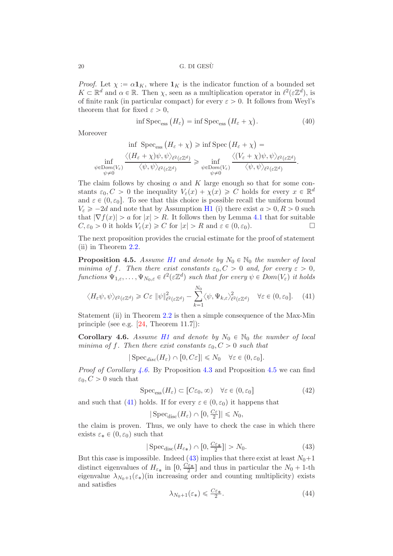*Proof.* Let  $\chi := \alpha \mathbf{1}_K$ , where  $\mathbf{1}_K$  is the indicator function of a bounded set  $K \subset \mathbb{R}^d$  and  $\alpha \in \mathbb{R}$ . Then  $\chi$ , seen as a multiplication operator in  $\ell^2(\varepsilon \mathbb{Z}^d)$ , is of finite rank (in particular compact) for every  $\varepsilon > 0$ . It follows from Weyl's theorem that for fixed  $\varepsilon > 0$ ,

$$
\inf \mathrm{Spec}_{\mathrm{ess}} \left( H_{\varepsilon} \right) = \inf \mathrm{Spec}_{\mathrm{ess}} \left( H_{\varepsilon} + \chi \right). \tag{40}
$$

Moreover

$$
\inf \limits_{\substack{\psi \in \mathrm{Dom}(V_{\varepsilon})}} \frac{\mathrm{c}(\mathrm{H}_{\varepsilon} + \chi) \geqslant \mathrm{inf} \mathrm{Spec}(\mathrm{H}_{\varepsilon} + \chi) = \mathrm{c}(\mathrm{H}_{\varepsilon} + \chi) \psi, \psi \rangle_{\ell^{2}(\varepsilon \mathbb{Z}^{d})}}{\langle \psi, \psi \rangle_{\ell^{2}(\varepsilon \mathbb{Z}^{d})}} \geqslant \inf \limits_{\substack{\psi \in \mathrm{Dom}(V_{\varepsilon}) \\ \psi \neq 0}} \frac{\langle (V_{\varepsilon} + \chi) \psi, \psi \rangle_{\ell^{2}(\varepsilon \mathbb{Z}^{d})}}{\langle \psi, \psi \rangle_{\ell^{2}(\varepsilon \mathbb{Z}^{d})}}.
$$

The claim follows by chosing  $\alpha$  and K large enough so that for some constants  $\varepsilon_0, C > 0$  the inequality  $V_{\varepsilon}(x) + \chi(x) \geqslant C$  holds for every  $x \in \mathbb{R}^d$ and  $\varepsilon \in (0, \varepsilon_0]$ . To see that this choice is possible recall the uniform bound  $V_{\varepsilon} \ge -2d$  and note that by Assumption [H1](#page-5-1) (i) there exist  $a > 0, R > 0$  such that  $|\nabla f(x)| > a$  for  $|x| > R$ . It follows then by Lemma [4.1](#page-18-2) that for suitable  $C, \varepsilon_0 > 0$  it holds  $V_{\varepsilon}(x) \geq C$  for  $|x| > R$  and  $\varepsilon \in (0, \varepsilon_0)$ .  $C, \varepsilon_0 > 0$  it holds  $V_{\varepsilon}(x) \geq C$  for  $|x| > R$  and  $\varepsilon \in (0, \varepsilon_0)$ .

The next proposition provides the crucial estimate for the proof of statement (ii) in Theorem [2.2.](#page-6-0)

<span id="page-19-1"></span>**Proposition 4.5.** Assume [H1](#page-5-1) and denote by  $N_0 \in \mathbb{N}_0$  the number of local minima of f. Then there exist constants  $\varepsilon_0, C > 0$  and, for every  $\varepsilon > 0$ , functions  $\Psi_{1,\varepsilon},\ldots,\Psi_{N_0,\varepsilon}\in\ell^2(\varepsilon\mathbb{Z}^d)$  such that for every  $\psi\in Dom(V_{\varepsilon})$  it holds

<span id="page-19-2"></span>
$$
\langle H_{\varepsilon}\psi, \psi \rangle_{\ell^2(\varepsilon \mathbb{Z}^d)} \ge C\varepsilon \|\psi\|_{\ell^2(\varepsilon \mathbb{Z}^d)}^2 - \sum_{k=1}^{N_0} \langle \psi, \Psi_{k,\varepsilon} \rangle_{\ell^2(\varepsilon \mathbb{Z}^d)}^2 \quad \forall \varepsilon \in (0, \varepsilon_0]. \tag{41}
$$

Statement (ii) in Theorem [2.2](#page-6-0) is then a simple consequence of the Max-Min principle (see e.g. [\[24,](#page-34-23) Theorem 11.7]):

<span id="page-19-0"></span>**Corollary 4.6.** Assume [H1](#page-5-1) and denote by  $N_0 \in \mathbb{N}_0$  the number of local minima of f. Then there exist constants  $\varepsilon_0, C > 0$  such that

 $|\operatorname{Spec}_{disc}(H_{\varepsilon}) \cap [0, C_{\varepsilon}]| \leq N_0 \quad \forall \varepsilon \in (0, \varepsilon_0].$ 

*Proof of Corollary [4.6.](#page-19-0)* By Proposition [4.3](#page-18-1) and Proposition [4.5](#page-19-1) we can find  $\varepsilon_0, C > 0$  such that

<span id="page-19-4"></span>
$$
Spec_{ess}(H_{\varepsilon}) \subset [C\varepsilon_0, \infty) \quad \forall \varepsilon \in (0, \varepsilon_0]
$$
 (42)

and such that [\(41\)](#page-19-2) holds. If for every  $\varepsilon \in (0, \varepsilon_0)$  it happens that

$$
|\operatorname{Spec}_{\operatorname{disc}}(H_{\varepsilon}) \cap [0, \frac{C_{\varepsilon}}{2}]| \leq N_0,
$$

the claim is proven. Thus, we only have to check the case in which there exists  $\varepsilon_* \in (0, \varepsilon_0)$  such that

<span id="page-19-3"></span>
$$
|\operatorname{Spec}_{\operatorname{disc}}(H_{\varepsilon_*}) \cap [0, \frac{C_{\varepsilon_*}}{2}]| > N_0. \tag{43}
$$

But this case is impossible. Indeed [\(43\)](#page-19-3) implies that there exist at least  $N_0+1$ distinct eigenvalues of  $H_{\varepsilon*}$  in  $[0, \frac{C_{\varepsilon*}}{2}]$  and thus in particular the  $N_0 + 1$ -th eigenvalue  $\lambda_{N_0+1}(\varepsilon_*)($ in increasing order and counting multiplicity) exists and satisfies

<span id="page-19-5"></span>
$$
\lambda_{N_0+1}(\varepsilon_*) \leqslant \frac{C\varepsilon_*}{2}.\tag{44}
$$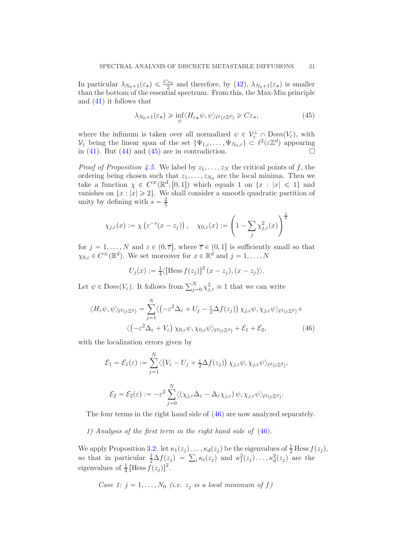In particular  $\lambda_{N_0+1}(\varepsilon_*) \leq \frac{C\varepsilon_0}{2}$  and therefore, by [\(42\)](#page-19-4),  $\lambda_{N_0+1}(\varepsilon_*)$  is smaller than the bottom of the essential spectrum. From this, the Max-Min principle and [\(41\)](#page-19-2) it follows that

<span id="page-20-0"></span>
$$
\lambda_{N_0+1}(\varepsilon_*) \ge \inf_{\psi} \langle H_{\varepsilon_*} \psi, \psi \rangle_{\ell^2(\varepsilon \mathbb{Z}^d)} \ge C\varepsilon_*,\tag{45}
$$

where the infimum is taken over all normalized  $\psi \in V_{\varepsilon}^{\perp} \cap Dom(V_{\varepsilon})$ , with  $\mathcal{V}_{\varepsilon}$  being the linear span of the set  $\{\Psi_{1,\varepsilon},\ldots,\Psi_{N_0,\varepsilon}\}\subset\ell^2(\varepsilon\mathbb{Z}^d)$  appearing in [\(41\)](#page-19-2). But [\(44\)](#page-19-5) and [\(45\)](#page-20-0) are in contradiction.  $\Box$ 

*Proof of Proposition [4.5.](#page-19-1)* We label by  $z_1, \ldots, z_N$  the critical points of f, the ordering being chosen such that  $z_1, \ldots, z_{N_0}$  are the local minima. Then we take a function  $\chi \in C^{\infty}(\mathbb{R}^d; [0, 1])$  which equals 1 on  $\{x : |x| \leq 1\}$  and vanishes on  $\{x : |x| \geq 2\}$ . We shall consider a smooth quadratic partition of unity by defining with  $s = \frac{2}{5}$ 5

$$
\chi_{j,\varepsilon}(x) := \chi\left(\varepsilon^{-s}(x-z_j)\right), \quad \chi_{0,\varepsilon}(x) := \left(1 - \sum_j \chi_{j,\varepsilon}^2(x)\right)^{\frac{1}{2}}
$$

for  $j = 1, ..., N$  and  $\varepsilon \in (0, \overline{\varepsilon}]$ , where  $\overline{\varepsilon} \in (0, 1]$  is sufficiently small so that  $\chi_{0,\varepsilon} \in C^{\infty}(\mathbb{R}^d)$ . We set moreover for  $x \in \mathbb{R}^d$  and  $j = 1, \ldots, N$ 

<span id="page-20-1"></span>
$$
U_j(x) := \frac{1}{4} \langle \left[ \text{Hess } f(z_j) \right]^2 (x - z_j), (x - z_j) \rangle.
$$

Let  $\psi \in \text{Dom}(V_{\varepsilon})$ . It follows from  $\sum_{j=0}^{N} \chi_{j,\varepsilon}^{2} \equiv 1$  that we can write

$$
\langle H_{\varepsilon}\psi, \psi \rangle_{\ell^{2}(\varepsilon\mathbb{Z}^{d})} = \sum_{j=1}^{N} \langle \left( -\varepsilon^{2} \Delta_{\varepsilon} + U_{j} - \frac{\varepsilon}{2} \Delta f(z_{j}) \right) \chi_{j,\varepsilon} \psi, \chi_{j,\varepsilon} \psi \rangle_{\ell^{2}(\varepsilon\mathbb{Z}^{d})} + \langle \left( -\varepsilon^{2} \Delta_{\varepsilon} + V_{\varepsilon} \right) \chi_{0,\varepsilon} \psi, \chi_{0,\varepsilon} \psi \rangle_{\ell^{2}(\varepsilon\mathbb{Z}^{d})} + \mathcal{E}_{1} + \mathcal{E}_{2},
$$
\n(46)

with the localization errors given by

$$
\mathcal{E}_1 = \mathcal{E}_1(\varepsilon) := \sum_{j=1}^N \langle \left(V_{\varepsilon} - U_j + \frac{\varepsilon}{2} \Delta f(z_j)\right) \chi_{j,\varepsilon} \psi, \chi_{j,\varepsilon} \psi \rangle_{\ell^2(\varepsilon \mathbb{Z}^d)},
$$
  

$$
\mathcal{E}_2 = \mathcal{E}_2(\varepsilon) := -\varepsilon^2 \sum_{j=0}^N \langle (\chi_{j,\varepsilon} \Delta_{\varepsilon} - \Delta_{\varepsilon} \chi_{j,\varepsilon}) \psi, \chi_{j,\varepsilon} \psi \rangle_{\ell^2(\varepsilon \mathbb{Z}^d)}.
$$

The four terms in the right hand side of [\(46\)](#page-20-1) are now analyzed separately.

1) Analysis of the first term in the right hand side of [\(46\)](#page-20-1).

We apply Proposition [3.2:](#page-11-2) let  $\kappa_1(z_j) \ldots, \kappa_d(z_j)$  be the eigenvalues of  $\frac{1}{2}$  Hess  $f(z_j)$ , so that in particular  $\frac{1}{2}\Delta f(z_j) = \sum_i \kappa_i(z_j)$  and  $\kappa_1^2(z_j) \ldots, \kappa_d^2(z_j)$  are the eigenvalues of  $\frac{1}{4}$  [Hess  $f(z_j)$ ]<sup>2</sup>.

Case 1: 
$$
j = 1, ..., N_0
$$
 (*i.e.*  $z_j$  is a local minimum of  $f$ )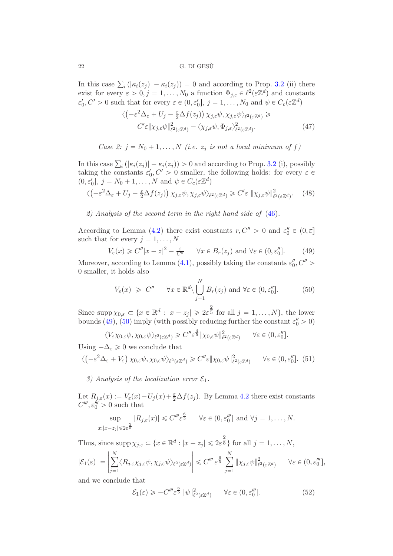In this case  $\sum_i (|\kappa_i(z_j)| - \kappa_i(z_j)) = 0$  and according to Prop. [3.2](#page-11-2) (ii) there exist for every  $\varepsilon > 0, j = 1, ..., N_0$  a function  $\Phi_{j,\varepsilon} \in \ell^2(\varepsilon \mathbb{Z}^d)$  and constants  $\varepsilon'_0, C' > 0$  such that for every  $\varepsilon \in (0, \varepsilon'_0], j = 1, ..., N_0$  and  $\psi \in C_c(\varepsilon \mathbb{Z}^d)$ 

<span id="page-21-2"></span>
$$
\langle \left( -\varepsilon^2 \Delta_{\varepsilon} + U_j - \frac{\varepsilon}{2} \Delta f(z_j) \right) \chi_{j,\varepsilon} \psi, \chi_{j,\varepsilon} \psi \rangle_{\ell^2(\varepsilon \mathbb{Z}^d)} \geq C' \varepsilon \| \chi_{j,\varepsilon} \psi \|_{\ell^2(\varepsilon \mathbb{Z}^d)}^2 - \langle \chi_{j,\varepsilon} \psi, \Phi_{j,\varepsilon} \rangle_{\ell^2(\varepsilon \mathbb{Z}^d)}^2. \tag{47}
$$

Case 2: 
$$
j = N_0 + 1, ..., N
$$
 (i.e.  $z_j$  is not a local minimum of f)

In this case  $\sum_i (|\kappa_i(z_j)| - \kappa_i(z_j)) > 0$  and according to Prop. [3.2](#page-11-2) (i), possibly taking the constants  $\varepsilon'_0, C' > 0$  smaller, the following holds: for every  $\varepsilon \in$  $(0, \varepsilon'_0], j = N_0 + 1, \ldots, N$  and  $\psi \in C_c(\varepsilon \mathbb{Z}^d)$ 

<span id="page-21-3"></span>
$$
\langle \left( -\varepsilon^2 \Delta_\varepsilon + U_j - \frac{\varepsilon}{2} \Delta f(z_j) \right) \chi_{j,\varepsilon} \psi, \chi_{j,\varepsilon} \psi \rangle_{\ell^2(\varepsilon \mathbb{Z}^d)} \geq C' \varepsilon \|\chi_{j,\varepsilon} \psi\|_{\ell^2(\varepsilon \mathbb{Z}^d)}^2. \tag{48}
$$

2) Analysis of the second term in the right hand side of [\(46\)](#page-20-1).

According to Lemma [\(4.2\)](#page-18-3) there exist constants  $r, C'' > 0$  and  $\varepsilon_0'' \in (0, \overline{\varepsilon}]$ such that for every  $j = 1, \ldots, N$ 

<span id="page-21-0"></span>
$$
V_{\varepsilon}(x) \geq C''|x-z|^2 - \frac{\varepsilon}{C''} \qquad \forall x \in B_r(z_j) \text{ and } \forall \varepsilon \in (0, \varepsilon_0''].
$$
 (49)

Moreover, according to Lemma [\(4.1\)](#page-18-2), possibly taking the constants  $\varepsilon_0''$ ,  $C'' > 0$ 0 smaller, it holds also

<span id="page-21-1"></span>
$$
V_{\varepsilon}(x) \geq C'' \qquad \forall x \in \mathbb{R}^d \setminus \bigcup_{j=1}^N B_r(z_j) \text{ and } \forall \varepsilon \in (0, \varepsilon_0''].
$$
 (50)

Since  $\text{supp }\chi_{0,\varepsilon} \subset \{x \in \mathbb{R}^d : |x - z_j| \geqslant 2\varepsilon^{\frac{2}{5}} \text{ for all } j = 1,\ldots,N\},\$  the lower bounds [\(49\)](#page-21-0), [\(50\)](#page-21-1) imply (with possibly reducing further the constant  $\varepsilon_0'' > 0$ )

$$
\langle V_{\varepsilon} \chi_{0,\varepsilon} \psi, \chi_{0,\varepsilon} \psi \rangle_{\ell^2(\varepsilon \mathbb{Z}^d)} \geqslant C'' \varepsilon^{\frac{4}{5}} \|\chi_{0,\varepsilon} \psi\|_{\ell^2(\varepsilon \mathbb{Z}^d)}^2 \qquad \forall \varepsilon \in (0,\varepsilon_0''].
$$

Using  $-\Delta_{\varepsilon} \geq 0$  we conclude that

<span id="page-21-4"></span>
$$
\langle \left( -\varepsilon^2 \Delta_{\varepsilon} + V_{\varepsilon} \right) \chi_{0,\varepsilon} \psi, \chi_{0,\varepsilon} \psi \rangle_{\ell^2(\varepsilon \mathbb{Z}^d)} \geqslant C'' \varepsilon \| \chi_{0,\varepsilon} \psi \|_{\ell^2(\varepsilon \mathbb{Z}^d)}^2 \qquad \forall \varepsilon \in (0,\varepsilon_0'']. \tag{51}
$$

3) Analysis of the localization error  $\mathcal{E}_1$ .

Let  $R_{j,\varepsilon}(x) := V_{\varepsilon}(x) - U_j(x) + \frac{\varepsilon}{2} \Delta f(z_j)$ . By Lemma [4.2](#page-18-3) there exist constants  $C'''$ ,  $\varepsilon_0''' > 0$  such that

$$
\sup_{x:|x-z_j|\leqslant 2\varepsilon^{\frac{2}{5}}} |R_{j,\varepsilon}(x)| \leqslant C''' \varepsilon^{\frac{6}{5}} \quad \forall \varepsilon \in (0,\varepsilon_0'''] \text{ and } \forall j=1,\ldots,N.
$$

Thus, since  $\text{supp }\chi_{j,\varepsilon} \subset \{x \in \mathbb{R}^d : |x - z_j| \leqslant 2\varepsilon^{\frac{2}{5}}\}\)$  for all  $j = 1, \ldots, N$ ,

$$
|\mathcal{E}_1(\varepsilon)| = \left| \sum_{j=1}^N \langle R_{j,\varepsilon} \chi_{j,\varepsilon} \psi, \chi_{j,\varepsilon} \psi \rangle_{\ell^2(\varepsilon \mathbb{Z}^d)} \right| \leq C'' \varepsilon^{\frac{6}{5}} \sum_{j=1}^N \|\chi_{j,\varepsilon} \psi\|_{\ell^2(\varepsilon \mathbb{Z}^d)}^2 \qquad \forall \varepsilon \in (0,\varepsilon_0'''],
$$

and we conclude that

<span id="page-21-5"></span>
$$
\mathcal{E}_1(\varepsilon) \geqslant -C'''\varepsilon^{\frac{6}{5}} \|\psi\|_{\ell^2(\varepsilon\mathbb{Z}^d)}^2 \qquad \forall \varepsilon \in (0, \varepsilon_0'''], \tag{52}
$$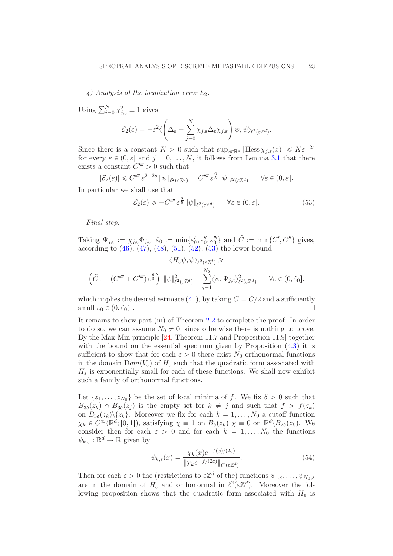4) Analysis of the localization error  $\mathcal{E}_2$ .

Using  $\sum_{j=0}^{N} \chi_{j,\varepsilon}^2 \equiv 1$  gives

$$
\mathcal{E}_2(\varepsilon) = -\varepsilon^2 \langle \left( \Delta_{\varepsilon} - \sum_{j=0}^N \chi_{j,\varepsilon} \Delta_{\varepsilon} \chi_{j,\varepsilon} \right) \psi, \psi \rangle_{\ell^2(\varepsilon \mathbb{Z}^d)}.
$$

Since there is a constant  $K > 0$  such that  $\sup_{x \in \mathbb{R}^d} | \text{Hess } \chi_{j,\varepsilon}(x) | \leq K \varepsilon^{-2s}$ for every  $\varepsilon \in (0, \overline{\varepsilon}]$  and  $j = 0, \ldots, N$ , it follows from Lemma [3.1](#page-10-3) that there exists a constant  $C^{\prime\prime\prime\prime} > 0$  such that

$$
|\mathcal{E}_2(\varepsilon)| \leq C'''' \varepsilon^{2-2s} \|\psi\|_{\ell^2(\varepsilon \mathbb{Z}^d)} = C'''' \varepsilon^{\frac{6}{5}} \|\psi\|_{\ell^2(\varepsilon \mathbb{Z}^d)} \qquad \forall \varepsilon \in (0, \overline{\varepsilon}].
$$

In particular we shall use that

<span id="page-22-0"></span>
$$
\mathcal{E}_2(\varepsilon) \geqslant -C'''' \varepsilon^{\frac{6}{5}} \|\psi\|_{\ell^2(\varepsilon \mathbb{Z}^d)} \qquad \forall \varepsilon \in (0, \overline{\varepsilon}]. \tag{53}
$$

Final step.

Taking  $\Psi_{j,\varepsilon} := \chi_{j,\varepsilon} \Phi_{j,\varepsilon}, \ \tilde{\varepsilon}_0 := \min\{\varepsilon'_0, \varepsilon''_0, \varepsilon'''_0\}$  and  $\tilde{C} := \min\{C', C''\}$  gives, according to  $(46)$ ,  $(47)$ ,  $(48)$ ,  $(51)$ ,  $(52)$ ,  $(53)$  the lower bound

$$
\langle H_{\varepsilon}\psi, \psi \rangle_{\ell^2(\varepsilon \mathbb{Z}^d)} \geq
$$
  

$$
\left(\tilde{C}\varepsilon - (C'''' + C'''')\varepsilon^{\frac{6}{5}}\right) \|\psi\|_{\ell^2(\varepsilon \mathbb{Z}^d)}^2 - \sum_{j=1}^{N_0} \langle \psi, \Psi_{j,\varepsilon} \rangle_{\ell^2(\varepsilon \mathbb{Z}^d)}^2 \qquad \forall \varepsilon \in (0, \tilde{\varepsilon}_0],
$$

which implies the desired estimate [\(41\)](#page-19-2), by taking  $C = \tilde{C}/2$  and a sufficiently small  $\varepsilon_0 \in (0, \tilde{\varepsilon}_0)$ small  $\varepsilon_0 \in (0, \tilde{\varepsilon}_0)$ .

It remains to show part (iii) of Theorem [2.2](#page-6-0) to complete the proof. In order to do so, we can assume  $N_0 \neq 0$ , since otherwise there is nothing to prove. By the Max-Min principle [\[24,](#page-34-23) Theorem 11.7 and Proposition 11.9] together with the bound on the essential spectrum given by Proposition  $(4.3)$  it is sufficient to show that for each  $\varepsilon > 0$  there exist  $N_0$  orthonormal functions in the domain  $Dom(V_{\varepsilon})$  of  $H_{\varepsilon}$  such that the quadratic form associated with  $H_{\varepsilon}$  is exponentially small for each of these functions. We shall now exhibit such a family of orthonormal functions.

Let  $\{z_1, \ldots, z_{N_0}\}\)$  be the set of local minima of f. We fix  $\delta > 0$  such that  $B_{3\delta}(z_k) \cap B_{3\delta}(z_j)$  is the empty set for  $k \neq j$  and such that  $f > f(z_k)$ on  $B_{3\delta}(z_k)\backslash\{z_k\}$ . Moreover we fix for each  $k = 1, \ldots, N_0$  a cutoff function  $\chi_k \in C^{\infty}(\mathbb{R}^d; [0, 1]),$  satisfying  $\chi \equiv 1$  on  $B_{\delta}(z_k)$   $\chi \equiv 0$  on  $\mathbb{R}^d \setminus B_{2\delta}(z_k)$ . We consider then for each  $\varepsilon > 0$  and for each  $k = 1, \ldots, N_0$  the functions  $\psi_{k,\varepsilon} : \mathbb{R}^d \to \mathbb{R}$  given by

<span id="page-22-1"></span>
$$
\psi_{k,\varepsilon}(x) = \frac{\chi_k(x)e^{-f(x)/(2\varepsilon)}}{\|\chi_k e^{-f/(2\varepsilon)}\|_{\ell^2(\varepsilon\mathbb{Z}^d)}}.
$$
\n(54)

Then for each  $\varepsilon > 0$  the (restrictions to  $\varepsilon \mathbb{Z}^d$  of the) functions  $\psi_{1,\varepsilon}, \ldots, \psi_{N_0,\varepsilon}$ are in the domain of  $H_{\varepsilon}$  and orthonormal in  $\ell^2(\varepsilon \mathbb{Z}^d)$ . Moreover the following proposition shows that the quadratic form associated with  $H_{\varepsilon}$  is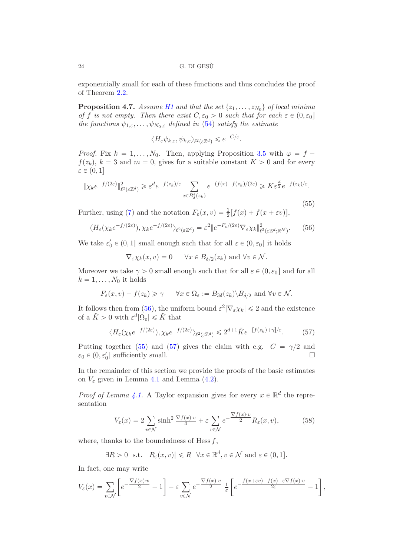exponentially small for each of these functions and thus concludes the proof of Theorem [2.2.](#page-6-0)

**Proposition 4.7.** Assume [H1](#page-5-1) and that the set  $\{z_1, \ldots, z_{N_0}\}$  of local minima of f is not empty. Then there exist  $C, \varepsilon_0 > 0$  such that for each  $\varepsilon \in (0, \varepsilon_0]$ the functions  $\psi_{1,\varepsilon}, \ldots, \psi_{N_0,\varepsilon}$  defined in [\(54\)](#page-22-1) satisfy the estimate

 $\langle H_{\varepsilon}\psi_{k,\varepsilon}, \psi_{k,\varepsilon}\rangle_{\ell^2(\varepsilon\mathbb{Z}^d)} \leqslant e^{-C/\varepsilon}.$ 

*Proof.* Fix  $k = 1, ..., N_0$ . Then, applying Proposition [3.5](#page-16-3) with  $\varphi = f$  $f(z_k)$ ,  $k = 3$  and  $m = 0$ , gives for a suitable constant  $K > 0$  and for every  $\varepsilon \in (0, 1]$ 

<span id="page-23-1"></span>
$$
\|\chi_k e^{-f/(2\varepsilon)}\|_{\ell^2(\varepsilon\mathbb{Z}^d)}^2 \geq \varepsilon^d e^{-f(z_k)/\varepsilon} \sum_{x \in B_\delta^\varepsilon(z_k)} e^{-(f(x)-f(z_k)/(2\varepsilon)} \geq K \varepsilon^{\frac{d}{2}} e^{-f(z_k)/\varepsilon}.
$$
\n(55)

Further, using [\(7\)](#page-5-0) and the notation  $F_{\varepsilon}(x, v) = \frac{1}{2}[f(x) + f(x + \varepsilon v)],$ 

<span id="page-23-0"></span>
$$
\langle H_{\varepsilon}(\chi_k e^{-f/(2\varepsilon)}), \chi_k e^{-f/(2\varepsilon)} \rangle_{\ell^2(\varepsilon \mathbb{Z}^d)} = \varepsilon^2 \| e^{-F_{\varepsilon}/(2\varepsilon)} \nabla_{\varepsilon} \chi_k \|_{\ell^2(\varepsilon \mathbb{Z}^d; \mathbb{R}^N)}^2. \tag{56}
$$

We take  $\varepsilon'_0 \in (0, 1]$  small enough such that for all  $\varepsilon \in (0, \varepsilon_0]$  it holds

$$
\nabla_{\varepsilon}\chi_k(x,v)=0\qquad \forall x\in B_{\delta/2}(z_k)\,\,\text{and}\,\,\forall v\in\mathcal{N}.
$$

Moreover we take  $\gamma > 0$  small enough such that for all  $\varepsilon \in (0, \varepsilon_0]$  and for all  $k = 1, \ldots, N_0$  it holds

$$
F_{\varepsilon}(x,v) - f(z_k) \ge \gamma
$$
  $\forall x \in \Omega_{\varepsilon} := B_{3\delta}(z_k) \setminus B_{\delta/2}$  and  $\forall v \in \mathcal{N}$ .

It follows then from [\(56\)](#page-23-0), the uniform bound  $\epsilon^2 |\nabla_{\epsilon} \chi_k| \leq 2$  and the existence of a  $\tilde{K} > 0$  with  $\varepsilon^d |\Omega_{\varepsilon}| \leq \tilde{K}$  that

<span id="page-23-2"></span>
$$
\langle H_{\varepsilon}(\chi_k e^{-f/(2\varepsilon)}), \chi_k e^{-f/(2\varepsilon)}\rangle_{\ell^2(\varepsilon\mathbb{Z}^d)} \leq 2^{d+1}\tilde{K}e^{-[f(z_k)+\gamma]/\varepsilon}.\tag{57}
$$

Putting together [\(55\)](#page-23-1) and [\(57\)](#page-23-2) gives the claim with e.g.  $C = \gamma/2$  and  $\varepsilon_0 \in (0, \varepsilon_0']$  sufficiently small.  $\varepsilon_0 \in (0, \varepsilon'_0]$  sufficiently small.

In the remainder of this section we provide the proofs of the basic estimates on  $V<sub>\epsilon</sub>$  given in Lemma [4.1](#page-18-2) and Lemma [\(4.2\)](#page-18-3).

*Proof of Lemma [4.1.](#page-18-2)* A Taylor expansion gives for every  $x \in \mathbb{R}^d$  the representation

<span id="page-23-3"></span>
$$
V_{\varepsilon}(x) = 2 \sum_{v \in \mathcal{N}} \sinh^2 \frac{\nabla f(x) \cdot v}{4} + \varepsilon \sum_{v \in \mathcal{N}} e^{-\frac{\nabla f(x) \cdot v}{2}} R_{\varepsilon}(x, v), \tag{58}
$$

where, thanks to the boundedness of Hess  $f$ ,

$$
\exists R > 0 \quad \text{s.t.} \quad |R_{\varepsilon}(x, v)| \leq R \quad \forall x \in \mathbb{R}^d, v \in \mathcal{N} \text{ and } \varepsilon \in (0, 1].
$$

In fact, one may write

$$
V_{\varepsilon}(x) = \sum_{v \in \mathcal{N}} \left[ e^{-\frac{\nabla f(x) \cdot v}{2}} - 1 \right] + \varepsilon \sum_{v \in \mathcal{N}} e^{-\frac{\nabla f(x) \cdot v}{2}} \frac{1}{\varepsilon} \left[ e^{-\frac{f(x + \varepsilon v) - f(x) - \varepsilon \nabla f(x) \cdot v}{2\varepsilon}} - 1 \right],
$$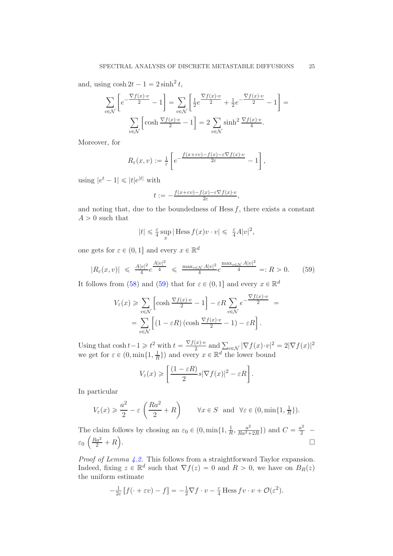and, using  $\cosh 2t - 1 = 2 \sinh^2 t$ ,

$$
\sum_{v \in \mathcal{N}} \left[ e^{-\frac{\nabla f(x) \cdot v}{2}} - 1 \right] = \sum_{v \in \mathcal{N}} \left[ \frac{1}{2} e^{\frac{\nabla f(x) \cdot v}{2}} + \frac{1}{2} e^{-\frac{\nabla f(x) \cdot v}{2}} - 1 \right] =
$$
  

$$
\sum_{v \in \mathcal{N}} \left[ \cosh \frac{\nabla f(x) \cdot v}{2} - 1 \right] = 2 \sum_{v \in \mathcal{N}} \sinh^2 \frac{\nabla f(x) \cdot v}{4}.
$$

Moreover, for

$$
R_{\varepsilon}(x,v) := \frac{1}{\varepsilon} \left[ e^{-\frac{f(x+\varepsilon v) - f(x) - \varepsilon \nabla f(x) \cdot v}{2\varepsilon}} - 1 \right],
$$

using  $|e^t - 1| \leq |t|e^{|t|}$  with

$$
t := -\frac{f(x+\varepsilon v)-f(x)-\varepsilon \nabla f(x) \cdot v}{2\varepsilon},
$$

and noting that, due to the boundedness of Hess  $f$ , there exists a constant  $A > 0$  such that

$$
|t| \leq \frac{\varepsilon}{4} \sup_x |\operatorname{Hess} f(x)v \cdot v| \leq \frac{\varepsilon}{4} A|v|^2,
$$

one gets for  $\varepsilon \in (0, 1]$  and every  $x \in \mathbb{R}^d$ 

<span id="page-24-0"></span>
$$
|R_{\varepsilon}(x,v)| \leq \frac{A|v|^2}{4} e^{\frac{A|v|^2}{4}} \leq \frac{\max_{v \in \mathcal{N}} A|v|^2}{4} e^{\frac{\max_{v \in \mathcal{N}} A|v|^2}{4}} =: R > 0. \tag{59}
$$

It follows from [\(58\)](#page-23-3) and [\(59\)](#page-24-0) that for  $\varepsilon \in (0, 1]$  and every  $x \in \mathbb{R}^d$ 

$$
V_{\varepsilon}(x) \ge \sum_{v \in \mathcal{N}} \left[ \cosh \frac{\nabla f(x) \cdot v}{2} - 1 \right] - \varepsilon R \sum_{v \in \mathcal{N}} e^{-\frac{\nabla f(x) \cdot v}{2}} =
$$
  
= 
$$
\sum_{v \in \mathcal{N}} \left[ (1 - \varepsilon R) \left( \cosh \frac{\nabla f(x) \cdot v}{2} - 1 \right) - \varepsilon R \right].
$$

Using that  $\cosh t - 1 \geq t^2$  with  $t = \frac{\nabla f(x) \cdot v}{2}$  and  $\sum_{v \in \mathcal{N}} |\nabla f(x) \cdot v|^2 = 2|\nabla f(x)|^2$ we get for  $\varepsilon \in (0, \min\{1, \frac{1}{R}\})$  $\frac{1}{R}$ }) and every  $x \in \mathbb{R}^d$  the lower bound

$$
V_{\varepsilon}(x) \geqslant \left[ \frac{(1 - \varepsilon R)}{2} s |\nabla f(x)|^2 - \varepsilon R \right].
$$

In particular

$$
V_{\varepsilon}(x) \ge \frac{a^2}{2} - \varepsilon \left(\frac{Ra^2}{2} + R\right) \qquad \forall x \in S \text{ and } \forall \varepsilon \in (0, \min\{1, \frac{1}{R}\}).
$$

The claim follows by chosing an  $\varepsilon_0 \in (0, \min\{1, \frac{1}{h}\})$  $\frac{1}{R}$ ,  $\frac{a^2}{Ra^2+}$  $\frac{a^2}{Ra^2 + 2R}$ }) and  $C = \frac{a^2}{2}$  $\frac{1}{2}$  –  $\varepsilon_0 \left( \frac{Ra^2}{2} + R \right)$ .

Proof of Lemma [4.2.](#page-18-3) This follows from a straightforward Taylor expansion. Indeed, fixing  $z \in \mathbb{R}^d$  such that  $\nabla f(z) = 0$  and  $R > 0$ , we have on  $B_R(z)$ the uniform estimate

$$
-\frac{1}{2\varepsilon}[f(\cdot+\varepsilon v)-f] = -\frac{1}{2}\nabla f \cdot v - \frac{\varepsilon}{4} \operatorname{Hess} f v \cdot v + \mathcal{O}(\varepsilon^2).
$$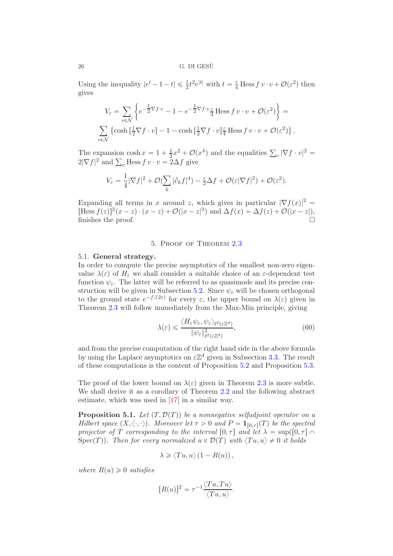Using the inequality  $|e^t - 1 - t| \leq \frac{1}{2}t^2 e^{|t|}$  with  $t = \frac{\varepsilon}{4}$  Hess  $f v \cdot v + \mathcal{O}(\varepsilon^2)$  then gives

$$
V_{\varepsilon} = \sum_{v \in \mathcal{N}} \left\{ e^{-\frac{1}{2}\nabla f \cdot v} - 1 - e^{-\frac{1}{2}\nabla f \cdot v} \frac{\varepsilon}{4} \operatorname{Hess} f v \cdot v + \mathcal{O}(\varepsilon^2) \right\} =
$$
  

$$
\sum_{v \in \mathcal{N}} \left\{ \cosh\left[\frac{1}{2}\nabla f \cdot v\right] - 1 - \cosh\left[\frac{1}{2}\nabla f \cdot v\right] \frac{\varepsilon}{4} \operatorname{Hess} f v \cdot v + \mathcal{O}(\varepsilon^2) \right\}.
$$

The expansion  $\cosh x = 1 + \frac{1}{2}x^2 + \mathcal{O}(x^4)$  and the equalities  $\sum_v |\nabla f \cdot v|^2 =$  $2|\nabla f|^2$  and  $\sum_v$  Hess  $f v \cdot v = 2\Delta f$  give

$$
V_{\varepsilon} = \frac{1}{4} |\nabla f|^2 + \mathcal{O}(\sum_{k} |\partial_{k} f|^4) - \frac{\varepsilon}{2} \Delta f + \mathcal{O}(\varepsilon |\nabla f|^2) + \mathcal{O}(\varepsilon^2).
$$

Expanding all terms in x around z, which gives in particular  $|\nabla f(x)|^2 =$ [Hess  $f(z)]^2(x-z) \cdot (x-z) + \mathcal{O}(|x-z|^3)$  and  $\Delta f(x) = \Delta f(z) + \mathcal{O}(|x-z|)$ , finishes the proof.  $\Box$ 

## 5. Proof of Theorem [2.3](#page-7-0)

### <span id="page-25-0"></span>5.1. General strategy.

In order to compute the precise asymptotics of the smallest non-zero eigenvalue  $\lambda(\varepsilon)$  of  $H_{\varepsilon}$  we shall consider a suitable choice of an  $\varepsilon$ -dependent test function  $\psi_{\varepsilon}$ . The latter will be referred to as quasimode and its precise con-struction will be given in Subsection [5.2.](#page-26-0) Since  $\psi_{\varepsilon}$  will be chosen orthogonal to the ground state  $e^{-f/(2\varepsilon)}$  for every  $\varepsilon$ , the upper bound on  $\lambda(\varepsilon)$  given in Theorem [2.3](#page-7-0) will follow immediately from the Max-Min principle, giving

<span id="page-25-2"></span>
$$
\lambda(\varepsilon) \leq \frac{\langle H_{\varepsilon} \psi_{\varepsilon}, \psi_{\varepsilon} \rangle_{\ell^2(\varepsilon \mathbb{Z}^d)}}{\|\psi_{\varepsilon}\|_{\ell^2(\varepsilon \mathbb{Z}^d)}^2},\tag{60}
$$

and from the precise computation of the right hand side in the above formula by using the Laplace asymptotics on  $\varepsilon \mathbb{Z}^d$  given in Subsection [3.3.](#page-14-0) The result of these computations is the content of Proposition [5.2](#page-27-0) and Proposition [5.3.](#page-28-0)

The proof of the lower bound on  $\lambda(\varepsilon)$  given in Theorem [2.3](#page-7-0) is more subtle. We shall derive it as a corollary of Theorem [2.2](#page-6-0) and the following abstract estimate, which was used in [\[17\]](#page-33-15) in a similar way.

<span id="page-25-1"></span>**Proposition 5.1.** Let  $(T, \mathcal{D}(T))$  be a nonnegative selfadjoint operator on a Hilbert space  $(X, \langle \cdot, \cdot \rangle)$ . Moreover let  $\tau > 0$  and  $P = \mathbf{1}_{[0,\tau]}(T)$  be the spectral projector of T corresponding to the interval  $[0, \tau]$  and let  $\lambda = \sup([0, \tau] \cap$  $Spec(T)$ ). Then for every normalized  $u \in \mathcal{D}(T)$  with  $\langle Tu, u \rangle \neq 0$  it holds

$$
\lambda \geq \langle Tu, u \rangle (1 - R(u)),
$$

where  $R(u) \geq 0$  satisfies

$$
[R(u)]^2 = \tau^{-1} \frac{\langle Tu, Tu \rangle}{\langle Tu, u \rangle}.
$$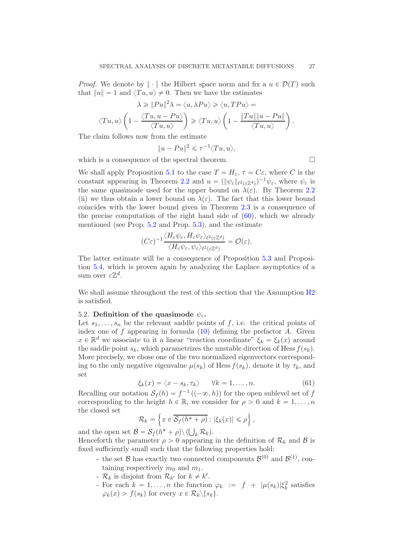*Proof.* We denote by  $\|\cdot\|$  the Hilbert space norm and fix a  $u \in \mathcal{D}(T)$  such that  $||u|| = 1$  and  $\langle Tu, u \rangle \neq 0$ . Then we have the estimates

$$
\lambda \geq \|Pu\|^2 \lambda = \langle u, \lambda Pu \rangle \geq \langle u, TPu \rangle =
$$
  

$$
\langle Tu, u \rangle \left(1 - \frac{\langle Tu, u - Pu \rangle}{\langle Tu, u \rangle}\right) \geq \langle Tu, u \rangle \left(1 - \frac{\|Tu\| \|u - Pu\|}{\langle Tu, u \rangle}\right).
$$

The claim follows now from the estimate

$$
||u - Pu||^2 \le \tau^{-1} \langle Tu, u \rangle,
$$

which is a consequence of the spectral theorem.  $\Box$ 

We shall apply Proposition [5.1](#page-25-1) to the case  $T = H_{\varepsilon}$ ,  $\tau = C_{\varepsilon}$ , where C is the constant appearing in Theorem [2.2](#page-6-0) and  $u = (\|\psi_{\varepsilon}\|_{\ell^2(\varepsilon\mathbb{Z}^d)})^{-1}\psi_{\varepsilon}$ , where  $\psi_{\varepsilon}$  is the same quasimode used for the upper bound on  $\lambda(\varepsilon)$ . By Theorem [2.2](#page-6-0) (ii) we thus obtain a lower bound on  $\lambda(\varepsilon)$ . The fact that this lower bound coincides with the lower bound given in Theorem [2.3](#page-7-0) is a consequence of the precise computation of the right hand side of  $(60)$ , which we already mentioned (see Prop. [5.2](#page-27-0) and Prop. [5.3\)](#page-28-0), and the estimate

$$
(C\varepsilon)^{-1} \frac{\langle H_{\varepsilon} \psi_{\varepsilon}, H_{\varepsilon} \psi_{\varepsilon} \rangle_{\ell^2(\varepsilon \mathbb{Z}^d)}}{\langle H_{\varepsilon} \psi_{\varepsilon}, \psi_{\varepsilon} \rangle_{\ell^2(\varepsilon \mathbb{Z}^d)}} = \mathcal{O}(\varepsilon).
$$

The latter estimate will be a consequence of Proposition [5.3](#page-28-0) and Proposition [5.4,](#page-28-1) which is proven again by analyzing the Laplace asymptotics of a sum over  $\varepsilon \mathbb{Z}^d$ .

We shall assume throughout the rest of this section that the Assumption  $H2$ is satisfied.

# <span id="page-26-0"></span>5.2. Definition of the quasimode  $\psi_{\varepsilon}$ .

Let  $s_1, \ldots, s_n$  be the relevant saddle points of f, i.e. the critical points of index one of  $f$  appearing in formula  $(10)$  defining the prefactor  $A$ . Given  $x \in \mathbb{R}^d$  we associate to it a linear "reaction coordinate"  $\xi_k = \xi_k(x)$  around the saddle point  $s_k$ , which parametrizes the unstable direction of Hess  $f(s_k)$ . More precisely, we chose one of the two normalized eigenvectors corresponding to the only negative eigenvalue  $\mu(s_k)$  of Hess  $f(s_k)$ , denote it by  $\tau_k$ , and set

<span id="page-26-1"></span>
$$
\xi_k(x) = \langle x - s_k, \tau_k \rangle \qquad \forall k = 1, \dots, n. \tag{61}
$$

Recalling our notation  $S_f(h) = f^{-1}((-\infty, h))$  for the open sublevel set of f corresponding to the height  $h \in \mathbb{R}$ , we consider for  $\rho > 0$  and  $k = 1, \ldots, n$ the closed set

$$
\mathcal{R}_k = \left\{ x \in \overline{\mathcal{S}_f(h^* + \rho)} : |\xi_k(x)| \leq \rho \right\},\
$$

and the open set  $\mathcal{B} = \mathcal{S}_f(h^* + \rho) \setminus (\bigcup_k \mathcal{R}_k)$ . Henceforth the parameter  $\rho > 0$  appearing in the definition of  $\mathcal{R}_k$  and  $\beta$  is fixed sufficiently small such that the following properties hold:

- the set  $\mathcal{B}$  has exactly two connected components  $\mathcal{B}^{(0)}$  and  $\mathcal{B}^{(1)}$ , containing respectively  $m_0$  and  $m_1$ .
- $\mathcal{R}_k$  is disjoint from  $\mathcal{R}_{k'}$  for  $k \neq k'$ .
- For each  $k = 1, ..., n$  the function  $\varphi_k := f + |\mu(s_k)| \xi_k^2$  satisfies  $\varphi_k(x) > f(s_k)$  for every  $x \in \mathcal{R}_k \backslash \{s_k\}.$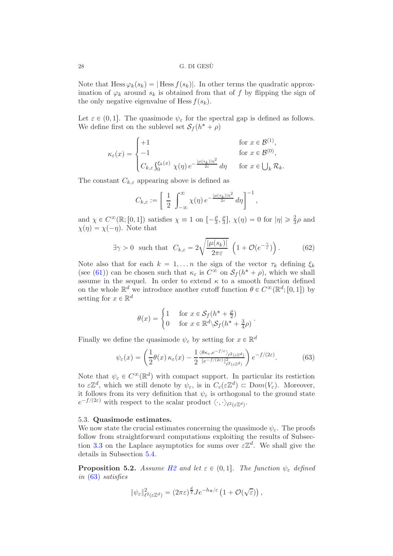### 28 G. DI GESU`

Note that  $Hess \varphi_k(s_k) = | \text{Hess } f(s_k)|$ . In other terms the quadratic approximation of  $\varphi_k$  around  $s_k$  is obtained from that of f by flipping the sign of the only negative eigenvalue of Hess  $f(s_k)$ .

Let  $\varepsilon \in (0, 1]$ . The quasimode  $\psi_{\varepsilon}$  for the spectral gap is defined as follows. We define first on the sublevel set  $\mathcal{S}_f(h^* + \rho)$ 

$$
\kappa_{\varepsilon}(x) = \begin{cases} +1 & \text{for } x \in \mathcal{B}^{(1)}, \\ -1 & \text{for } x \in \mathcal{B}^{(0)}, \\ C_{k,\varepsilon} \int_0^{\xi_k(x)} \chi(\eta) e^{-\frac{|\mu(s_k)|\eta|^2}{2\varepsilon}} d\eta & \text{for } x \in \bigcup_k \mathcal{R}_k. \end{cases}
$$

The constant  $C_{k,\varepsilon}$  appearing above is defined as

$$
C_{k,\varepsilon} := \left[ \frac{1}{2} \int_{-\infty}^{\infty} \chi(\eta) e^{-\frac{|\mu(s_k)|\eta|^2}{2\varepsilon}} d\eta \right]^{-1},
$$

and  $\chi \in C^{\infty}(\mathbb{R}; [0, 1])$  satisfies  $\chi \equiv 1$  on  $[-\frac{\rho}{3}, \frac{\rho}{3}]$  $\frac{\rho}{3}$ ,  $\chi(\eta) = 0$  for  $|\eta| \geq \frac{2}{3}\rho$  and  $\chi(\eta) = \chi(-\eta)$ . Note that

<span id="page-27-2"></span>
$$
\exists \gamma > 0
$$
 such that  $C_{k,\varepsilon} = 2\sqrt{\frac{|\mu(s_k)|}{2\pi\varepsilon}} \left(1 + \mathcal{O}(e^{-\frac{\gamma}{\varepsilon}})\right).$  (62)

Note also that for each  $k = 1, \ldots n$  the sign of the vector  $\tau_k$  defining  $\xi_k$ (see [\(61\)](#page-26-1)) can be chosen such that  $\kappa_{\varepsilon}$  is  $C^{\infty}$  on  $S_f(h^* + \rho)$ , which we shall assume in the sequel. In order to extend  $\kappa$  to a smooth function defined on the whole  $\mathbb{R}^d$  we introduce another cutoff function  $\theta \in C^\infty(\mathbb{R}^d; [0, 1])$  by setting for  $x \in \mathbb{R}^d$ 

$$
\theta(x) = \begin{cases} 1 & \text{for } x \in \mathcal{S}_f(h^* + \frac{\rho}{2}) \\ 0 & \text{for } x \in \mathbb{R}^d \backslash \mathcal{S}_f(h^* + \frac{3}{4}\rho) \end{cases}
$$

Finally we define the quasimode  $\psi_{\varepsilon}$  by setting for  $x \in \mathbb{R}^d$ 

<span id="page-27-1"></span>
$$
\psi_{\varepsilon}(x) = \left(\frac{1}{2}\theta(x)\,\kappa_{\varepsilon}(x) - \frac{1}{2}\frac{\langle\theta\kappa_{\varepsilon},e^{-f/\varepsilon}\rangle_{\ell^2(\varepsilon\mathbb{Z}^d)}}{\|e^{-f/(2\varepsilon)}\|_{\ell^2(\varepsilon\mathbb{Z}^d)}^2}\right)e^{-f/(2\varepsilon)}.\tag{63}
$$

.

Note that  $\psi_{\varepsilon} \in C^{\infty}(\mathbb{R}^d)$  with compact support. In particular its restiction to  $\varepsilon \mathbb{Z}^d$ , which we still denote by  $\psi_{\varepsilon}$ , is in  $C_c(\varepsilon \mathbb{Z}^d) \subset Dom(V_{\varepsilon})$ . Moreover, it follows from its very definition that  $\psi_{\varepsilon}$  is orthogonal to the ground state  $e^{-f/(2\varepsilon)}$  with respect to the scalar product  $\langle \cdot, \cdot \rangle_{\ell^2(\varepsilon \mathbb{Z}^d)}$ .

### 5.3. Quasimode estimates.

We now state the crucial estimates concerning the quasimode  $\psi_{\varepsilon}$ . The proofs follow from straightforward computations exploiting the results of Subsec-tion [3.3](#page-14-0) on the Laplace asymptotics for sums over  $\varepsilon \mathbb{Z}^d$ . We shall give the details in Subsection [5.4.](#page-28-2)

<span id="page-27-0"></span>**Proposition 5.2.** Assume [H2](#page-5-2) and let  $\varepsilon \in (0, 1]$ . The function  $\psi_{\varepsilon}$  defined in [\(63\)](#page-27-1) satisfies

$$
\|\psi_{\varepsilon}\|_{\ell^2(\varepsilon\mathbb{Z}^d)}^2 = (2\pi\varepsilon)^{\frac{d}{2}} J e^{-h*/\varepsilon} \left(1 + \mathcal{O}(\sqrt{\varepsilon})\right),
$$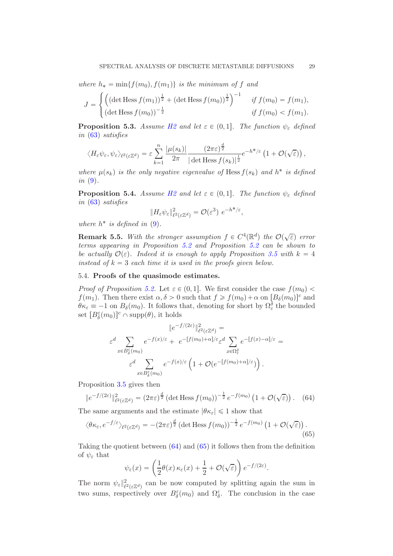where  $h_* = \min\{f(m_0), f(m_1)\}\$ is the minimum of f and

$$
J = \begin{cases} \left( (\det \text{Hess } f(m_1))^{\frac{1}{2}} + (\det \text{Hess } f(m_0))^{\frac{1}{2}} \right)^{-1} & \text{if } f(m_0) = f(m_1), \\ (\det \text{Hess } f(m_0))^{-\frac{1}{2}} & \text{if } f(m_0) < f(m_1). \end{cases}
$$

<span id="page-28-0"></span>**Proposition 5.3.** Assume [H2](#page-5-2) and let  $\varepsilon \in (0, 1]$ . The function  $\psi_{\varepsilon}$  defined in [\(63\)](#page-27-1) satisfies

$$
\langle H_{\varepsilon} \psi_{\varepsilon}, \psi_{\varepsilon} \rangle_{\ell^2(\varepsilon \mathbb{Z}^d)} = \varepsilon \sum_{k=1}^n \frac{|\mu(s_k)|}{2\pi} \frac{(2\pi \varepsilon)^{\frac{d}{2}}}{|\det \operatorname{Hess} f(s_k)|^{\frac{1}{2}}} e^{-h^*/\varepsilon} \left(1 + \mathcal{O}(\sqrt{\varepsilon})\right),
$$

where  $\mu(s_k)$  is the only negative eigenvalue of Hess  $f(s_k)$  and  $h^*$  is defined in  $(9)$ .

<span id="page-28-1"></span>**Proposition 5.4.** Assume [H2](#page-5-2) and let  $\varepsilon \in (0, 1]$ . The function  $\psi_{\varepsilon}$  defined in [\(63\)](#page-27-1) satisfies

$$
||H_{\varepsilon}\psi_{\varepsilon}||_{\ell^2(\varepsilon\mathbb{Z}^d)}^2 = \mathcal{O}(\varepsilon^3) e^{-h^*/\varepsilon},
$$

where  $h^*$  is defined in  $(9)$ .

**Remark 5.5.** With the stronger assumption  $f \in C^4(\mathbb{R}^d)$  the  $\mathcal{O}(\sqrt{\varepsilon})$  error terms appearing in Proposition [5.2](#page-27-0) and Proposition [5.2](#page-27-0) can be shown to be actually  $\mathcal{O}(\varepsilon)$ . Indeed it is enough to apply Proposition [3.5](#page-16-3) with  $k = 4$ instead of  $k = 3$  each time it is used in the proofs given below.

### <span id="page-28-2"></span>5.4. Proofs of the quasimode estimates.

*Proof of Proposition [5.2.](#page-27-0)* Let  $\varepsilon \in (0, 1]$ . We first consider the case  $f(m_0)$  <  $f(m_1)$ . Then there exist  $\alpha, \delta > 0$  such that  $f \geq f(m_0) + \alpha$  on  $[B_\delta(m_0)]^c$  and  $\theta \kappa_{\varepsilon} \equiv -1$  on  $B_{\delta}(m_0)$ . It follows that, denoting for short by  $\Omega_{\varepsilon}^{\delta}$  the bounded set  $[B_{\delta}^{\varepsilon}(m_0)]^c \cap \text{supp}(\theta)$ , it holds

$$
||e^{-f/(2\varepsilon)}||_{\ell^2(\varepsilon\mathbb{Z}^d)}^2 =
$$

$$
\varepsilon^d \sum_{x \in B_\delta^{\varepsilon}(m_0)} e^{-f(x)/\varepsilon} + e^{-[f(m_0) + \alpha]/\varepsilon} \varepsilon^d \sum_{x \in \Omega_\varepsilon^{\delta}} e^{-[f(x) - \alpha]/\varepsilon} =
$$

$$
\varepsilon^d \sum_{x \in B_\delta^{\varepsilon}(m_0)} e^{-f(x)/\varepsilon} \left(1 + \mathcal{O}(e^{-[f(m_0) + \alpha]/\varepsilon})\right).
$$

Proposition [3.5](#page-16-3) gives then

$$
\|e^{-f/(2\varepsilon)}\|_{\ell^2(\varepsilon\mathbb{Z}^d)}^2 = (2\pi\varepsilon)^{\frac{d}{2}} \left(\det \text{Hess}\, f(m_0)\right)^{-\frac{1}{2}} e^{-f(m_0)} \left(1 + \mathcal{O}(\sqrt{\varepsilon})\right). \tag{64}
$$

The same arguments and the estimate  $|\theta \kappa_{\varepsilon}| \leq 1$  show that

$$
\langle \theta \kappa_{\varepsilon}, e^{-f/\varepsilon} \rangle_{\ell^2(\varepsilon \mathbb{Z}^d)} = -(2\pi\varepsilon)^{\frac{d}{2}} \left( \det \text{Hess}\, f(m_0) \right)^{-\frac{1}{2}} e^{-f(m_0)} \left( 1 + \mathcal{O}(\sqrt{\varepsilon}) \right). \tag{65}
$$

Taking the quotient between  $(64)$  and  $(65)$  it follows then from the definition of  $\psi_{\varepsilon}$  that

<span id="page-28-4"></span><span id="page-28-3"></span>
$$
\psi_{\varepsilon}(x) = \left(\frac{1}{2}\theta(x)\,\kappa_{\varepsilon}(x) + \frac{1}{2} + \mathcal{O}(\sqrt{\varepsilon})\right)e^{-f/(2\varepsilon)}.
$$

The norm  $\psi_{\varepsilon} \|_{\ell^2}^2$  $\ell^2(\varepsilon \mathbb{Z}^d)$  can be now computed by splitting again the sum in two sums, respectively over  $B_{\delta}^{\varepsilon}(m_0)$  and  $\Omega_{\delta}^{\varepsilon}$ . The conclusion in the case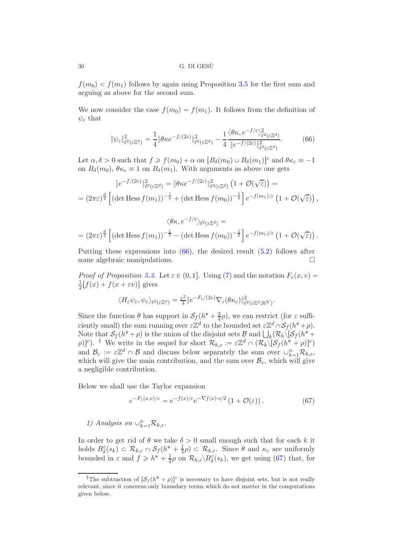$f(m_0) < f(m_1)$  follows by again using Proposition [3.5](#page-16-3) for the first sum and arguing as above for the second sum.

We now consider the case  $f(m_0) = f(m_1)$ . It follows from the definition of  $\psi_{\varepsilon}$  that

<span id="page-29-0"></span>
$$
\|\psi_{\varepsilon}\|_{\ell^2(\varepsilon\mathbb{Z}^d)}^2 = \frac{1}{4} \|\theta \kappa e^{-f/(2\varepsilon)}\|_{\ell^2(\varepsilon\mathbb{Z}^d)}^2 - \frac{1}{4} \frac{\langle \theta \kappa, e^{-f/\varepsilon} \rangle_{\ell^2(\varepsilon\mathbb{Z}^d)}^2}{\|e^{-f/(2\varepsilon)}\|_{\ell^2(\varepsilon\mathbb{Z}^d)}^2}.
$$
(66)

Let  $\alpha, \delta > 0$  such that  $f \geq f(m_0) + \alpha$  on  $[B_\delta(m_0) \cup B_\delta(m_1)]^c$  and  $\theta \kappa_\varepsilon \equiv -1$ on  $B_\delta(m_0)$ ,  $\theta \kappa_\varepsilon \equiv 1$  on  $B_\delta(m_1)$ . With arguments as above one gets

$$
||e^{-f/(2\varepsilon)}||_{\ell^2(\varepsilon\mathbb{Z}^d)}^2 = ||\theta\kappa e^{-f/(2\varepsilon)}||_{\ell^2(\varepsilon\mathbb{Z}^d)}^2 (1 + \mathcal{O}(\sqrt{\varepsilon})) =
$$
  
=  $(2\pi\varepsilon)^{\frac{d}{2}} \left[ (\det \text{Hess } f(m_1))^{-\frac{1}{2}} + (\det \text{Hess } f(m_0))^{-\frac{1}{2}} \right] e^{-f(m_1)/\varepsilon} (1 + \mathcal{O}(\sqrt{\varepsilon})) ,$ 

$$
\langle \theta \kappa, e^{-f/\varepsilon} \rangle_{\ell^2(\varepsilon \mathbb{Z}^d)} =
$$
  
=  $(2\pi\varepsilon)^{\frac{d}{2}} \left[ (\det \text{Hess } f(m_1))^{-\frac{1}{2}} - (\det \text{Hess } f(m_0))^{-\frac{1}{2}} \right] e^{-f(m_1)/\varepsilon} \left( 1 + \mathcal{O}(\sqrt{\varepsilon}) \right).$ 

Putting these expressions into  $(66)$ , the desired result  $(5.2)$  follows after some algebraic manipulations.

*Proof of Proposition [5.3.](#page-28-0)* Let  $\varepsilon \in (0, 1]$ . Using [\(7\)](#page-5-0) and the notation  $F_{\varepsilon}(x, v) =$ 1  $\frac{1}{2}[f(x) + f(x + \varepsilon v)]$  gives

$$
\langle H_{\varepsilon} \psi_{\varepsilon}, \psi_{\varepsilon} \rangle_{\ell^2(\varepsilon \mathbb{Z}^d)} = \frac{\varepsilon^2}{4} \| e^{-F_{\varepsilon}/(2\varepsilon)} \nabla_{\varepsilon} (\theta \kappa_{\varepsilon}) \|_{\ell^2(\varepsilon \mathbb{Z}^d; \mathbb{R}^N)}^2.
$$

Since the function  $\theta$  has support in  $\mathcal{S}_f(h^* + \frac{3}{4}\rho)$ , we can restrict (for  $\varepsilon$  sufficiently small) the sum running over  $\varepsilon \mathbb{Z}^d$  to the bounded set  $\varepsilon \mathbb{Z}^d \cap \mathcal{S}_f(h^* + \rho)$ . Note that  $S_f(h^* + \rho)$  is the union of the disjoint sets  $\beta$  and  $\bigcup_k (\mathcal{R}_k \setminus [\mathcal{S}_f(h^* + \rho)]$  $(\rho)$ <sup>c</sup>). <sup>[1](#page-29-1)</sup> We write in the sequel for short  $\mathcal{R}_{k,\varepsilon} := \varepsilon \mathbb{Z}^d \cap (\mathcal{R}_k \setminus [\mathcal{S}_f(h^* + \rho)]^c)$ and  $\mathcal{B}_{\varepsilon} := \varepsilon \mathbb{Z}^d \cap \mathcal{B}$  and discuss below separately the sum over  $\cup_{k=1}^n \mathcal{R}_{k,\varepsilon}$ , which will give the main contribution, and the sum over  $\mathcal{B}_{\varepsilon}$ , which will give a negligible contribution.

Below we shall use the Taylor expansion

<span id="page-29-2"></span>
$$
e^{-F_{\varepsilon}(x,v)/\varepsilon} = e^{-f(x)/\varepsilon} e^{-\nabla f(x)\cdot v/2} \left(1 + \mathcal{O}(\varepsilon)\right). \tag{67}
$$

1) Analysis on  $\cup_{k=1}^n \mathcal{R}_{k,\varepsilon}$ .

In order to get rid of  $\theta$  we take  $\delta > 0$  small enough such that for each k it holds  $B_{\delta}^{\varepsilon}(s_k) \subset \mathcal{R}_{k,\varepsilon} \cap \mathcal{S}_f(h^* + \frac{1}{4})$  $(\frac{1}{4}\rho) \subset \mathcal{R}_{k,\varepsilon}$ . Since  $\theta$  and  $\kappa_{\varepsilon}$  are uniformly bounded in  $\varepsilon$  and  $f \geq h^* + \frac{1}{4}\rho$  on  $\mathcal{R}_{k,\varepsilon} \setminus B_{\delta}^{\varepsilon}(s_k)$ , we get using [\(67\)](#page-29-2) that, for

<span id="page-29-1"></span><sup>&</sup>lt;sup>1</sup>The subtraction of  $[\mathcal{S}_f(h^* + \rho)]^c$  is necessary to have disjoint sets, but is not really relevant, since it concerns only boundary terms which do not matter in the computations given below.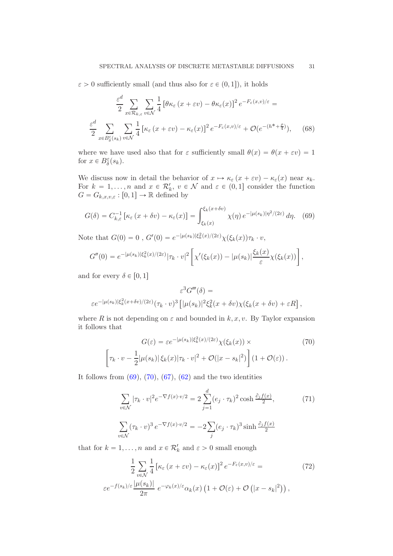$\varepsilon > 0$  sufficiently small (and thus also for  $\varepsilon \in (0, 1]$ ), it holds

<span id="page-30-2"></span>
$$
\frac{\varepsilon^d}{2} \sum_{x \in \mathcal{R}_{k,\varepsilon}} \sum_{v \in \mathcal{N}} \frac{1}{4} \left[ \theta \kappa_{\varepsilon} (x + \varepsilon v) - \theta \kappa_{\varepsilon} (x) \right]^2 e^{-F_{\varepsilon} (x, v)/\varepsilon} =
$$

$$
\frac{\varepsilon^d}{2} \sum_{x \in B_{\delta}^{\varepsilon} (s_k)} \sum_{v \in \mathcal{N}} \frac{1}{4} \left[ \kappa_{\varepsilon} (x + \varepsilon v) - \kappa_{\varepsilon} (x) \right]^2 e^{-F_{\varepsilon} (x, v)/\varepsilon} + \mathcal{O}(e^{-(h^* + \frac{\rho}{4})}), \quad (68)
$$

where we have used also that for  $\varepsilon$  sufficiently small  $\theta(x) = \theta(x + \varepsilon v) = 1$ for  $x \in B_{\delta}^{\varepsilon}(s_k)$ .

We discuss now in detail the behavior of  $x \mapsto \kappa_{\varepsilon}(x + \varepsilon v) - \kappa_{\varepsilon}(x)$  near  $s_k$ . For  $k = 1, ..., n$  and  $x \in \mathcal{R}'_k$ ,  $v \in \mathcal{N}$  and  $\varepsilon \in (0, 1]$  consider the function  $G = G_{k,x,v,\varepsilon} : [0, 1] \to \mathbb{R}$  defined by

<span id="page-30-0"></span>
$$
G(\delta) = C_{k,\varepsilon}^{-1} \left[ \kappa_{\varepsilon} \left( x + \delta v \right) - \kappa_{\varepsilon} (x) \right] = \int_{\xi_k(x)}^{\xi_k (x + \delta v)} \chi(\eta) \, e^{-\left| \mu(s_k) \right| \eta^2 / (2\varepsilon)} \, d\eta. \tag{69}
$$

Note that  $G(0) = 0$ ,  $G'(0) = e^{-|\mu(s_k)|\xi_k^2(x)/(2\varepsilon)} \chi(\xi_k(x)) \tau_k \cdot v$ ,

$$
G''(0) = e^{-|\mu(s_k)|\xi_k^2(x)/(2\varepsilon)} |\tau_k \cdot v|^2 \left[ \chi'(\xi_k(x)) - |\mu(s_k)| \frac{\xi_k(x)}{\varepsilon} \chi(\xi_k(x)) \right],
$$

and for every  $\delta \in [0, 1]$ 

$$
\varepsilon^3 G'''(\delta) =
$$
  

$$
\varepsilon^2 G'''(\delta) =
$$
  

$$
\varepsilon e^{-|\mu(s_k)|\xi_k^2(x+\delta v)/(2\varepsilon)} (\tau_k \cdot v)^3 [|\mu(s_k)|^2 \xi_k^2(x+\delta v) \chi(\xi_k(x+\delta v) + \varepsilon R],
$$

where R is not depending on  $\varepsilon$  and bounded in  $k, x, v$ . By Taylor expansion it follows that

$$
G(\varepsilon) = \varepsilon e^{-|\mu(s_k)|\xi_k^2(x)/(2\varepsilon)} \chi(\xi_k(x)) \times \qquad (70)
$$

$$
\left[\tau_k \cdot v - \frac{1}{2}|\mu(s_k)|\xi_k(x)|\tau_k \cdot v|^2 + \mathcal{O}(|x - s_k|^2)\right] (1 + \mathcal{O}(\varepsilon)).
$$

It follows from  $(69)$ ,  $(70)$ ,  $(67)$ ,  $(62)$  and the two identities

<span id="page-30-4"></span><span id="page-30-1"></span>
$$
\sum_{v \in \mathcal{N}} |\tau_k \cdot v|^2 e^{-\nabla f(x) \cdot v/2} = 2 \sum_{j=1}^d (e_j \cdot \tau_k)^2 \cosh \frac{\partial_j f(x)}{2},\tag{71}
$$

<span id="page-30-3"></span>
$$
\sum_{v \in \mathcal{N}} (\tau_k \cdot v)^3 e^{-\nabla f(x) \cdot v/2} = -2 \sum_j (e_j \cdot \tau_k)^3 \sinh \frac{\partial_j f(x)}{2}
$$

that for  $k = 1, ..., n$  and  $x \in \mathcal{R}'_k$  and  $\varepsilon > 0$  small enough

$$
\frac{1}{2} \sum_{v \in \mathcal{N}} \frac{1}{4} \left[ \kappa_{\varepsilon} \left( x + \varepsilon v \right) - \kappa_{\varepsilon} (x) \right]^2 e^{-F_{\varepsilon} (x, v)/\varepsilon} =
$$
\n
$$
\varepsilon e^{-f(s_k)/\varepsilon} \frac{|\mu(s_k)|}{2\pi} \ e^{-\varphi_k(x)/\varepsilon} \alpha_k(x) \left( 1 + \mathcal{O}(\varepsilon) + \mathcal{O} \left( |x - s_k|^2 \right) \right),
$$
\n(72)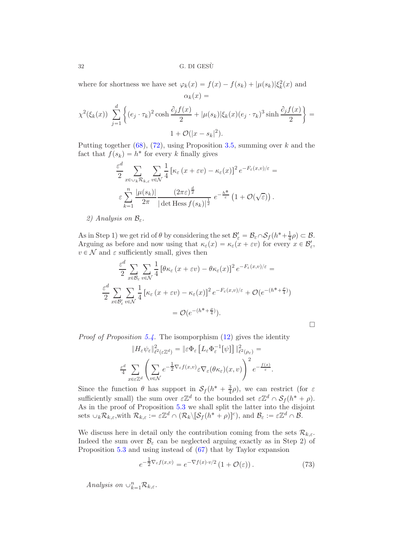32 G. DI GESU`

where for shortness we have set  $\varphi_k(x) = f(x) - f(s_k) + |\mu(s_k)| \xi_k^2(x)$  and  $\alpha_k(x) =$ 

$$
\chi^2(\xi_k(x)) \sum_{j=1}^d \left\{ (e_j \cdot \tau_k)^2 \cosh \frac{\partial_j f(x)}{2} + |\mu(s_k)| \xi_k(x) (e_j \cdot \tau_k)^3 \sinh \frac{\partial_j f(x)}{2} \right\} =
$$
  

$$
1 + \mathcal{O}(|x - s_k|^2).
$$

Putting together  $(68)$ ,  $(72)$ , using Proposition [3.5,](#page-16-3) summing over k and the fact that  $f(s_k) = h^*$  for every k finally gives

$$
\frac{\varepsilon^d}{2} \sum_{x \in \bigcup_k \mathcal{R}_{k,\varepsilon}} \sum_{v \in \mathcal{N}} \frac{1}{4} \left[ \kappa_{\varepsilon} (x + \varepsilon v) - \kappa_{\varepsilon} (x) \right]^2 e^{-F_{\varepsilon} (x, v)/\varepsilon} =
$$
  

$$
\varepsilon \sum_{k=1}^n \frac{|\mu(s_k)|}{2\pi} \frac{(2\pi\varepsilon)^{\frac{d}{2}}}{|\det \operatorname{Hess} f(s_k)|^{\frac{1}{2}}} e^{-\frac{h^*}{\varepsilon}} \left( 1 + \mathcal{O}(\sqrt{\varepsilon}) \right).
$$

2) Analysis on  $\mathcal{B}_{\varepsilon}$ .

As in Step 1) we get rid of  $\theta$  by considering the set  $\mathcal{B}'_{\varepsilon} = \mathcal{B}_{\varepsilon} \cap \mathcal{S}_{f}(h^* + \frac{1}{4}\rho) \subset \mathcal{B}$ . Arguing as before and now using that  $\kappa_{\varepsilon}(x) = \kappa_{\varepsilon}(x + \varepsilon v)$  for every  $x \in \mathcal{B}'_{\varepsilon}$ ,  $v \in \mathcal{N}$  and  $\varepsilon$  sufficiently small, gives then

$$
\frac{\varepsilon^d}{2} \sum_{x \in \mathcal{B}_{\varepsilon}} \sum_{v \in \mathcal{N}} \frac{1}{4} \left[ \theta \kappa_{\varepsilon} (x + \varepsilon v) - \theta \kappa_{\varepsilon} (x) \right]^2 e^{-F_{\varepsilon} (x, v)/\varepsilon} =
$$

$$
\frac{\varepsilon^d}{2} \sum_{x \in \mathcal{B}'_{\varepsilon}} \sum_{v \in \mathcal{N}} \frac{1}{4} \left[ \kappa_{\varepsilon} (x + \varepsilon v) - \kappa_{\varepsilon} (x) \right]^2 e^{-F_{\varepsilon} (x, v)/\varepsilon} + \mathcal{O}(e^{-(h^* + \frac{\rho}{4})})
$$

$$
= \mathcal{O}(e^{-(h^* + \frac{\rho}{4})}).
$$

 $\Box$ 

Proof of Proposition [5.4.](#page-28-1) The isomporphism  $(12)$  gives the identity

$$
||H_{\varepsilon}\psi_{\varepsilon}||_{\ell^2(\varepsilon\mathbb{Z}^d)}^2 = \|\varepsilon\Phi_{\varepsilon}\left[L_{\varepsilon}\Phi_{\varepsilon}^{-1}[\psi]\right]||_{\ell^2(\rho_{\varepsilon})}^2 =
$$

$$
\frac{\varepsilon^d}{4} \sum_{x \in \varepsilon\mathbb{Z}^d} \left(\sum_{v \in \mathcal{N}} e^{-\frac{1}{2}\nabla_{\varepsilon}f(x,v)} \varepsilon \nabla_{\varepsilon}(\theta\kappa_{\varepsilon})(x,v)\right)^2 e^{-\frac{f(x)}{\varepsilon}}.
$$

Since the function  $\theta$  has support in  $S_f(h^* + \frac{3}{4})$  $\frac{3}{4}\rho$ , we can restrict (for  $\varepsilon$ sufficiently small) the sum over  $\varepsilon \mathbb{Z}^d$  to the bounded set  $\varepsilon \mathbb{Z}^d \cap \mathcal{S}_f(h^* + \rho)$ . As in the proof of Proposition [5.3](#page-28-0) we shall split the latter into the disjoint sets  $\cup_k \mathcal{R}_{k,\varepsilon}$ ,with  $\mathcal{R}_{k,\varepsilon} := \varepsilon \mathbb{Z}^d \cap (\mathcal{R}_k \backslash [\mathcal{S}_f(h^* + \rho)]^c)$ , and  $\mathcal{B}_\varepsilon := \varepsilon \mathbb{Z}^d \cap \mathcal{B}$ .

We discuss here in detail only the contribution coming from the sets  $\mathcal{R}_{k,\varepsilon}$ . Indeed the sum over  $\mathcal{B}_{\varepsilon}$  can be neglected arguing exactly as in Step 2) of Proposition [5.3](#page-28-0) and using instead of [\(67\)](#page-29-2) that by Taylor expansion

<span id="page-31-0"></span>
$$
e^{-\frac{1}{2}\nabla_{\varepsilon}f(x,v)} = e^{-\nabla f(x)\cdot v/2} \left(1 + \mathcal{O}(\varepsilon)\right). \tag{73}
$$

Analysis on  $\cup_{k=1}^n \mathcal{R}_{k,\varepsilon}$ .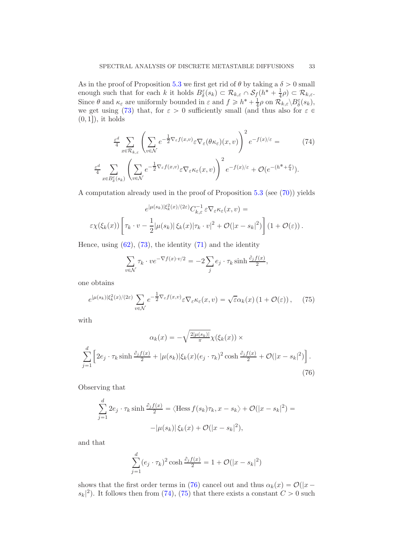As in the proof of Proposition [5.3](#page-28-0) we first get rid of  $\theta$  by taking a  $\delta > 0$  small enough such that for each k it holds  $B_{\delta}^{\varepsilon}(s_k) \subset \mathcal{R}_{k,\varepsilon} \cap \mathcal{S}_{f}(h^* + \frac{1}{4}\rho) \subset \mathcal{R}_{k,\varepsilon}$ . Since  $\theta$  and  $\kappa_{\varepsilon}$  are uniformly bounded in  $\varepsilon$  and  $f \geqslant h^* + \frac{1}{4}$  $\frac{1}{4}\rho$  on  $\mathcal{R}_{k,\varepsilon}\backslash B_{\delta}^{\varepsilon}(s_k),$ we get using [\(73\)](#page-31-0) that, for  $\varepsilon > 0$  sufficiently small (and thus also for  $\varepsilon \in$  $(0, 1]$ , it holds

<span id="page-32-1"></span>
$$
\frac{\varepsilon^d}{4} \sum_{x \in \mathcal{R}_{k,\varepsilon}} \left( \sum_{v \in \mathcal{N}} e^{-\frac{1}{2} \nabla_{\varepsilon} f(x,v)} \varepsilon \nabla_{\varepsilon} (\theta \kappa_{\varepsilon}) (x,v) \right)^2 e^{-f(x)/\varepsilon} = (74)
$$
\n
$$
\frac{\varepsilon^d}{4} \sum_{x \in B_{\delta}^{\varepsilon}(s_k)} \left( \sum_{v \in \mathcal{N}} e^{-\frac{1}{2} \nabla_{\varepsilon} f(x,v)} \varepsilon \nabla_{\varepsilon} \kappa_{\varepsilon}(x,v) \right)^2 e^{-f(x)/\varepsilon} + \mathcal{O}(e^{-(h^* + \frac{\rho}{4})}).
$$

A computation already used in the proof of Proposition [5.3](#page-28-0) (see [\(70\)](#page-30-1)) yields

$$
e^{|\mu(s_k)|\xi_k^2(x)/(2\varepsilon)}C_{k,\varepsilon}^{-1}\varepsilon\nabla_{\varepsilon}\kappa_{\varepsilon}(x,v)=
$$

$$
\varepsilon\chi(\xi_k(x))\left[\tau_k\cdot v-\frac{1}{2}|\mu(s_k)|\xi_k(x)|\tau_k\cdot v|^2+\mathcal{O}(|x-s_k|^2)\right](1+\mathcal{O}(\varepsilon)).
$$

Hence, using  $(62)$ ,  $(73)$ , the identity  $(71)$  and the identity

<span id="page-32-2"></span>
$$
\sum_{v \in \mathcal{N}} \tau_k \cdot v e^{-\nabla f(x) \cdot v/2} = -2 \sum_j e_j \cdot \tau_k \sinh \frac{\partial_j f(x)}{2},
$$

one obtains

$$
e^{|\mu(s_k)|\xi_k^2(x)/(2\varepsilon)} \sum_{v \in \mathcal{N}} e^{-\frac{1}{2}\nabla_{\varepsilon}f(x,v)} \varepsilon \nabla_{\varepsilon} \kappa_{\varepsilon}(x,v) = \sqrt{\varepsilon} \alpha_k(x) \left(1 + \mathcal{O}(\varepsilon)\right), \quad (75)
$$

with

$$
\alpha_k(x) = -\sqrt{\frac{2|\mu(s_k)|}{\pi}} \chi(\xi_k(x)) \times
$$

$$
\sum_{j=1}^d \left[ 2e_j \cdot \tau_k \sinh \frac{\partial_j f(x)}{2} + |\mu(s_k)| \xi_k(x) (e_j \cdot \tau_k)^2 \cosh \frac{\partial_j f(x)}{2} + \mathcal{O}(|x - s_k|^2) \right].
$$
(76)

Observing that  $\overline{1}$ 

$$
\sum_{j=1}^{a} 2e_j \cdot \tau_k \sinh \frac{\partial_j f(x)}{2} = \langle \text{Hess } f(s_k)\tau_k, x - s_k \rangle + \mathcal{O}(|x - s_k|^2) =
$$

$$
-|\mu(s_k)|\xi_k(x) + \mathcal{O}(|x - s_k|^2),
$$

and that

<span id="page-32-0"></span>
$$
\sum_{j=1}^{d} (e_j \cdot \tau_k)^2 \cosh \frac{\partial_j f(x)}{2} = 1 + \mathcal{O}(|x - s_k|^2)
$$

shows that the first order terms in [\(76\)](#page-32-0) cancel out and thus  $\alpha_k(x) = \mathcal{O}(|x$  $s_k|^2$ ). It follows then from [\(74\)](#page-32-1), [\(75\)](#page-32-2) that there exists a constant  $C > 0$  such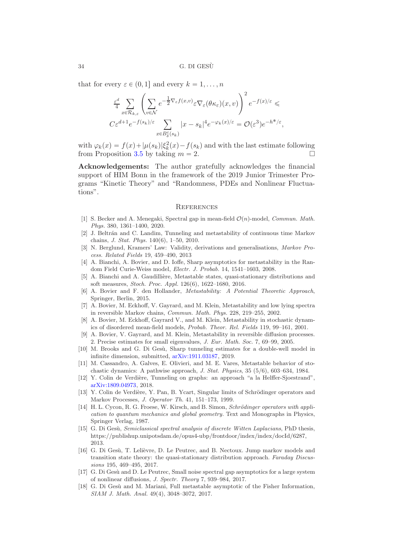that for every  $\varepsilon \in (0, 1]$  and every  $k = 1, \ldots, n$ 

$$
\frac{\varepsilon^d}{4} \sum_{x \in \mathcal{R}_{k,\varepsilon}} \left( \sum_{v \in \mathcal{N}} e^{-\frac{1}{2} \nabla_{\varepsilon} f(x,v)} \varepsilon \nabla_{\varepsilon} (\theta \kappa_{\varepsilon}) (x,v) \right)^2 e^{-f(x)/\varepsilon} \leqslant
$$
  

$$
C \varepsilon^{d+1} e^{-f(s_k)/\varepsilon} \sum_{x \in B_{\delta}^{\varepsilon}(s_k)} |x - s_k|^4 e^{-\varphi_k(x)/\varepsilon} = \mathcal{O}(\varepsilon^3) e^{-h^*/\varepsilon},
$$

with  $\varphi_k(x) = f(x) + |\mu(s_k)| \xi_k^2(x) - f(s_k)$  and with the last estimate following from Proposition [3.5](#page-16-3) by taking  $m = 2$ .

Acknowledgements: The author gratefully acknowledges the financial support of HIM Bonn in the framework of the 2019 Junior Trimester Programs "Kinetic Theory" and "Randomness, PDEs and Nonlinear Fluctuations".

#### **REFERENCES**

- [1] S. Becker and A. Menegaki, Spectral gap in mean-field  $\mathcal{O}(n)$ -model, Commun. Math. Phys. 380, 1361–1400, 2020.
- <span id="page-33-7"></span>[2] J. Beltrán and C. Landim, Tunneling and metastability of continuous time Markov chains, J. Stat. Phys. 140(6), 1–50, 2010.
- <span id="page-33-9"></span>[3] N. Berglund, Kramers' Law: Validity, derivations and generalisations, Markov Process. Related Fields 19, 459–490, 2013
- <span id="page-33-6"></span>[4] A. Bianchi, A. Bovier, and D. Ioffe, Sharp asymptotics for metastability in the Random Field Curie-Weiss model, Electr. J. Probab. 14, 1541–1603, 2008.
- [5] A. Bianchi and A. Gaudillière, Metastable states, quasi-stationary distributions and soft measures, Stoch. Proc. Appl. 126(6), 1622–1680, 2016.
- <span id="page-33-8"></span>[6] A. Bovier and F. den Hollander, Metastability: A Potential Theoretic Approach, Springer, Berlin, 2015.
- <span id="page-33-3"></span>[7] A. Bovier, M. Eckhoff, V. Gayrard, and M. Klein, Metastability and low lying spectra in reversible Markov chains, Commun. Math. Phys. 228, 219–255, 2002.
- <span id="page-33-11"></span>[8] A. Bovier, M. Eckhoff, Gayrard V., and M. Klein, Metastability in stochastic dynamics of disordered mean-field models, Probab. Theor. Rel. Fields 119, 99–161, 2001.
- <span id="page-33-2"></span>[9] A. Bovier, V. Gayrard, and M. Klein, Metastability in reversible diffusion processes. 2. Precise estimates for small eigenvalues, J. Eur. Math. Soc. 7, 69–99, 2005.
- <span id="page-33-12"></span>[10] M. Brooks and G. Di Gesù, Sharp tunneling estimates for a double-well model in infinite dimension, submitted, [arXiv:1911.03187,](http://arxiv.org/abs/1911.03187) 2019.
- <span id="page-33-5"></span>[11] M. Cassandro, A. Galves, E. Olivieri, and M. E. Vares, Metastable behavior of stochastic dynamics: A pathwise approach, J. Stat. Physics, 35 (5/6), 603–634, 1984.
- <span id="page-33-1"></span>[12] Y. Colin de Verdière, Tunneling on graphs: an approach "a la Helffer-Sjoestrand", [arXiv:1809.04973,](http://arxiv.org/abs/1809.04973) 2018.
- <span id="page-33-0"></span>[13] Y. Colin de Verdière, Y. Pan, B. Ycart, Singular limits of Schrödinger operators and Markov Processes, J. Operator Th. 41, 151–173, 1999.
- <span id="page-33-14"></span>[14] H. L. Cycon, R. G. Froese, W. Kirsch, and B. Simon, Schrödinger operators with application to quantum mechanics and global geometry. Text and Monographs in Physics, Springer Verlag, 1987.
- <span id="page-33-4"></span>[15] G. Di Gesù, Semiclassical spectral analysis of discrete Witten Laplacians, PhD thesis, https://publishup.unipotsdam.de/opus4-ubp/frontdoor/index/index/docId/6287, 2013.
- <span id="page-33-10"></span>[16] G. Di Gesù, T. Lelièvre, D. Le Peutrec, and B. Nectoux. Jump markov models and transition state theory: the quasi-stationary distribution approach. Faraday Discussions 195, 469–495, 2017.
- <span id="page-33-15"></span>[17] G. Di Gesù and D. Le Peutrec, Small noise spectral gap asymptotics for a large system of nonlinear diffusions, J. Spectr. Theory 7, 939–984, 2017.
- <span id="page-33-13"></span>[18] G. Di Gesù and M. Mariani, Full metastable asymptotic of the Fisher Information, SIAM J. Math. Anal. 49(4), 3048–3072, 2017.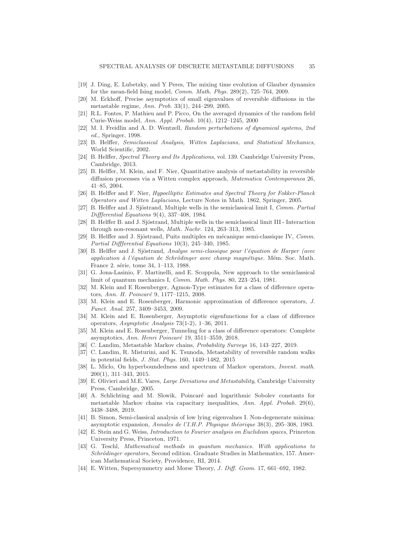- <span id="page-34-11"></span><span id="page-34-10"></span>[19] J. Ding, E. Lubetzky, and Y Peres, The mixing time evolution of Glauber dynamics for the mean-field Ising model, Comm. Math. Phys. 289(2), 725–764, 2009.
- [20] M. Eckhoff, Precise asymptotics of small eigenvalues of reversible diffusions in the metastable regime, Ann. Prob. 33(1), 244–299, 2005.
- <span id="page-34-15"></span>[21] R.L. Fontes, P. Mathieu and P. Picco, On the averaged dynamics of the random field Curie-Weiss model, Ann. Appl. Probab. 10(4), 1212–1245, 2000
- <span id="page-34-16"></span>[22] M. I. Freidlin and A. D. Wentzell, Random perturbations of dynamical systems, 2nd ed., Springer, 1998.
- <span id="page-34-23"></span>[23] B. Helffer, Semiclassical Analysis, Witten Laplacians, and Statistical Mechanics, World Scientific, 2002.
- <span id="page-34-3"></span>[24] B. Helffer, Spectral Theory and Its Applications, vol. 139. Cambridge University Press, Cambridge, 2013.
- [25] B. Helffer, M. Klein, and F. Nier, Quantitative analysis of metastability in reversible diffusion processes via a Witten complex approach, Matematica Contemporanea 26, 41–85, 2004.
- [26] B. Helffer and F. Nier, *Hypoelliptic Estimates and Spectral Theory for Fokker-Planck* Operators and Witten Laplacians, Lecture Notes in Math. 1862, Springer, 2005.
- <span id="page-34-21"></span>[27] B. Helffer and J. Sjöstrand, Multiple wells in the semiclassical limit I, Comm. Partial Diffferential Equations 9(4), 337–408, 1984.
- <span id="page-34-9"></span>[28] B. Helffer B. and J. Sjöstrand, Multiple wells in the semiclassical limit III - Interaction through non-resonant wells, Math. Nachr. 124, 263–313, 1985.
- <span id="page-34-1"></span>[29] B. Helffer and J. Sjöstrand, Puits multiples en mécanique semi-classique IV, Comm. Partial Diffferential Equations 10(3), 245–340, 1985.
- <span id="page-34-8"></span>[30] B. Helffer and J. Sjöstrand, Analyse semi-classique pour l'équation de Harper (avec application à l'équation de Schrödinger avec champ magnétique. Mém. Soc. Math. France 2. série, tome 34, 1–113, 1988.
- <span id="page-34-14"></span>[31] G. Jona-Lasinio, F. Martinelli, and E. Scoppola, New approach to the semiclassical limit of quantum mechanics I, Comm. Math. Phys. 80, 223–254, 1981.
- <span id="page-34-4"></span>[32] M. Klein and E Rosenberger, Agmon-Type estimates for a class of difference operators, Ann. H. Poincaré 9, 1177-1215, 2008.
- <span id="page-34-5"></span>[33] M. Klein and E. Rosenberger, Harmonic approximation of difference operators, J. Funct. Anal. 257, 3409–3453, 2009.
- <span id="page-34-6"></span>[34] M. Klein and E. Rosenberger, Asymptotic eigenfunctions for a class of difference operators, Asymptotic Analysis 73(1-2), 1–36, 2011.
- <span id="page-34-7"></span>[35] M. Klein and E. Rosenberger, Tunneling for a class of difference operators: Complete asymptotics, Ann. Henri Poincaré 19, 3511–3559, 2018.
- <span id="page-34-18"></span><span id="page-34-12"></span>[36] C. Landim, Metastable Markov chains, Probability Surveys 16, 143–227, 2019.
- [37] C. Landim, R. Misturini, and K. Tsunoda, Metastability of reversible random walks in potential fields, J. Stat. Phys. 160, 1449–1482, 2015
- <span id="page-34-2"></span>[38] L. Miclo, On hyperboundedness and spectrum of Markov operators, Invent. math. 200(1), 311–343, 2015.
- <span id="page-34-17"></span>[39] E. Olivieri and M.E. Vares, Large Deviations and Metastability, Cambridge University Press, Cambridge, 2005.
- <span id="page-34-13"></span>[40] A. Schlichting and M. Slowik, Poincaré and logarithmic Sobolev constants for metastable Markov chains via capacitary inequalities, Ann. Appl. Probab. 29(6), 3438–3488, 2019.
- <span id="page-34-20"></span>[41] B. Simon, Semi-classical analysis of low lying eigenvalues I. Non-degenerate minima: asymptotic expansion, Annales de l'I.H.P. Physique théorique 38(3), 295–308, 1983.
- <span id="page-34-22"></span>[42] E. Stein and G. Weiss, Introduction to Fourier analysis on Euclidean spaces, Princeton University Press, Princeton, 1971.
- <span id="page-34-19"></span>[43] G. Teschl, Mathematical methods in quantum mechanics. With applications to Schrödinger operators, Second edition. Graduate Studies in Mathematics, 157. American Mathematical Society, Providence, RI, 2014.
- <span id="page-34-0"></span>[44] E. Witten, Supersymmetry and Morse Theory, J. Diff. Geom. 17, 661–692, 1982.